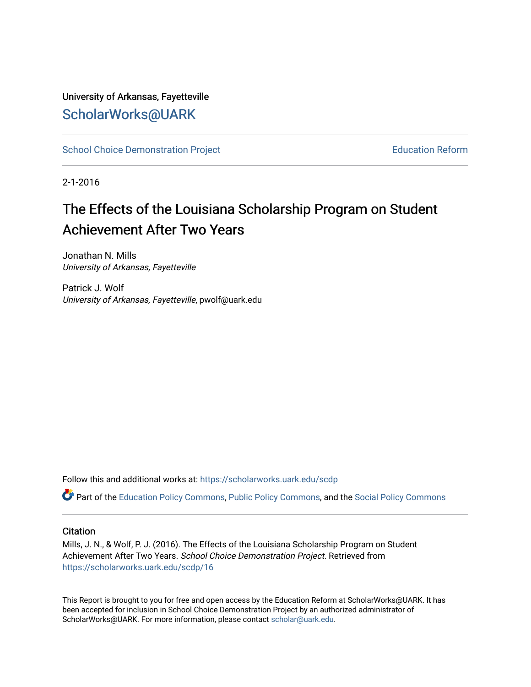# University of Arkansas, Fayetteville [ScholarWorks@UARK](https://scholarworks.uark.edu/)

[School Choice Demonstration Project](https://scholarworks.uark.edu/scdp) **Education Reform** Education Reform

2-1-2016

# The Effects of the Louisiana Scholarship Program on Student Achievement After Two Years

Jonathan N. Mills University of Arkansas, Fayetteville

Patrick J. Wolf University of Arkansas, Fayetteville, pwolf@uark.edu

Follow this and additional works at: [https://scholarworks.uark.edu/scdp](https://scholarworks.uark.edu/scdp?utm_source=scholarworks.uark.edu%2Fscdp%2F16&utm_medium=PDF&utm_campaign=PDFCoverPages) 

Part of the [Education Policy Commons](http://network.bepress.com/hgg/discipline/1026?utm_source=scholarworks.uark.edu%2Fscdp%2F16&utm_medium=PDF&utm_campaign=PDFCoverPages), [Public Policy Commons](http://network.bepress.com/hgg/discipline/400?utm_source=scholarworks.uark.edu%2Fscdp%2F16&utm_medium=PDF&utm_campaign=PDFCoverPages), and the [Social Policy Commons](http://network.bepress.com/hgg/discipline/1030?utm_source=scholarworks.uark.edu%2Fscdp%2F16&utm_medium=PDF&utm_campaign=PDFCoverPages)

#### **Citation**

Mills, J. N., & Wolf, P. J. (2016). The Effects of the Louisiana Scholarship Program on Student Achievement After Two Years. School Choice Demonstration Project. Retrieved from [https://scholarworks.uark.edu/scdp/16](https://scholarworks.uark.edu/scdp/16?utm_source=scholarworks.uark.edu%2Fscdp%2F16&utm_medium=PDF&utm_campaign=PDFCoverPages)

This Report is brought to you for free and open access by the Education Reform at ScholarWorks@UARK. It has been accepted for inclusion in School Choice Demonstration Project by an authorized administrator of ScholarWorks@UARK. For more information, please contact [scholar@uark.edu](mailto:scholar@uark.edu).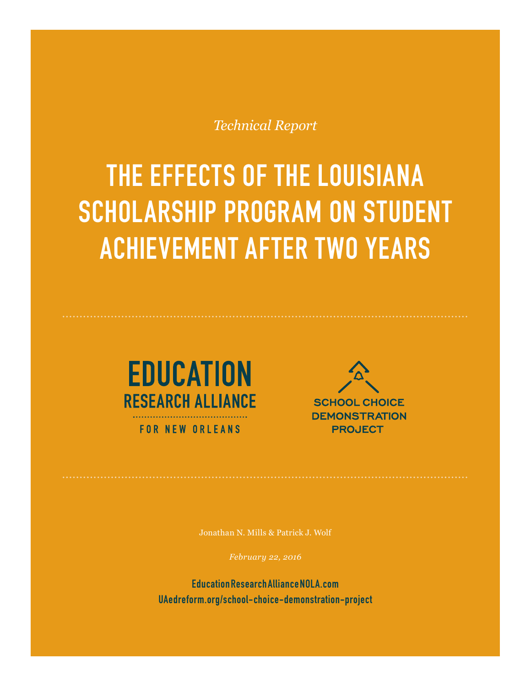*Technical Report*

# THE EFFECTS OF THE LOUISIANA SCHOLARSHIP PROGRAM ON STUDENT ACHIEVEMENT AFTER TWO YEARS



**FOR NEW ORLEANS** 



Jonathan N. Mills & Patrick J. Wolf

*February 22, 2016*

EducationResearchAllianceNOLA.com UAedreform.org/school-choice-demonstration-project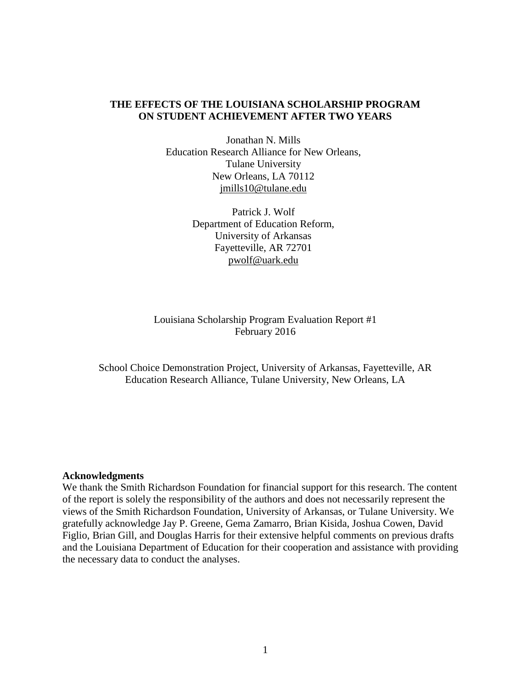#### **THE EFFECTS OF THE LOUISIANA SCHOLARSHIP PROGRAM ON STUDENT ACHIEVEMENT AFTER TWO YEARS**

Jonathan N. Mills Education Research Alliance for New Orleans, Tulane University New Orleans, LA 70112 [jmills10@tulane.edu](mailto:jmills10@tulane.edu)

> Patrick J. Wolf Department of Education Reform, University of Arkansas Fayetteville, AR 72701 [pwolf@uark.edu](mailto:pwolf@uark.edu)

Louisiana Scholarship Program Evaluation Report #1 February 2016

School Choice Demonstration Project, University of Arkansas, Fayetteville, AR Education Research Alliance, Tulane University, New Orleans, LA

#### **Acknowledgments**

We thank the Smith Richardson Foundation for financial support for this research. The content of the report is solely the responsibility of the authors and does not necessarily represent the views of the Smith Richardson Foundation, University of Arkansas, or Tulane University. We gratefully acknowledge Jay P. Greene, Gema Zamarro, Brian Kisida, Joshua Cowen, David Figlio, Brian Gill, and Douglas Harris for their extensive helpful comments on previous drafts and the Louisiana Department of Education for their cooperation and assistance with providing the necessary data to conduct the analyses.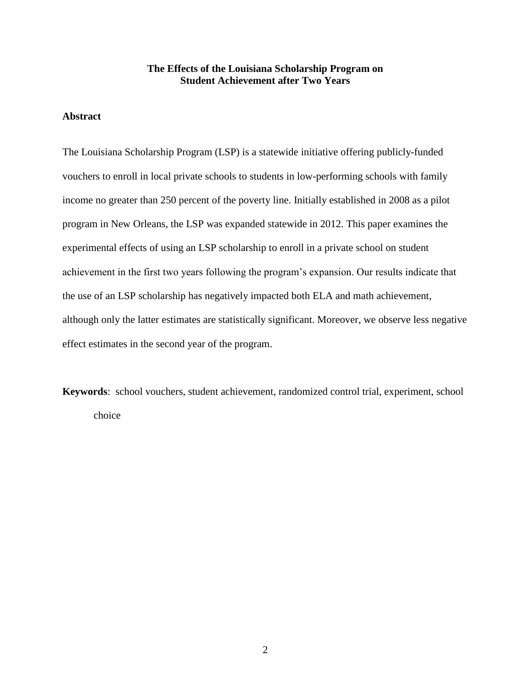#### **The Effects of the Louisiana Scholarship Program on Student Achievement after Two Years**

# **Abstract**

The Louisiana Scholarship Program (LSP) is a statewide initiative offering publicly-funded vouchers to enroll in local private schools to students in low-performing schools with family income no greater than 250 percent of the poverty line. Initially established in 2008 as a pilot program in New Orleans, the LSP was expanded statewide in 2012. This paper examines the experimental effects of using an LSP scholarship to enroll in a private school on student achievement in the first two years following the program's expansion. Our results indicate that the use of an LSP scholarship has negatively impacted both ELA and math achievement, although only the latter estimates are statistically significant. Moreover, we observe less negative effect estimates in the second year of the program.

**Keywords**: school vouchers, student achievement, randomized control trial, experiment, school choice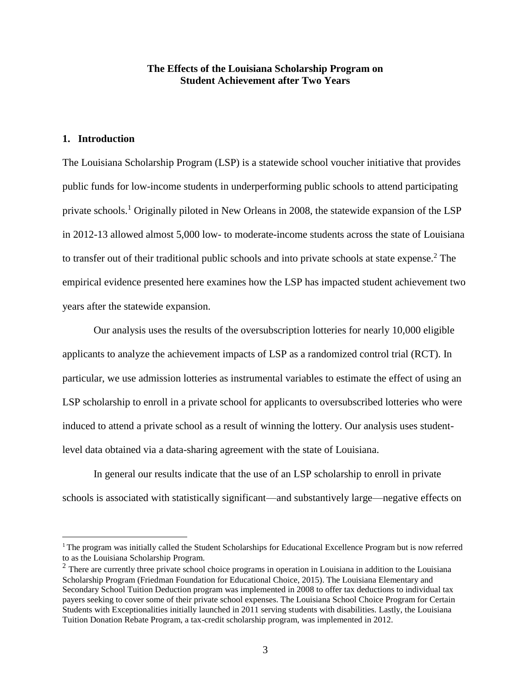#### **The Effects of the Louisiana Scholarship Program on Student Achievement after Two Years**

# **1. Introduction**

 $\overline{a}$ 

The Louisiana Scholarship Program (LSP) is a statewide school voucher initiative that provides public funds for low-income students in underperforming public schools to attend participating private schools.<sup>1</sup> Originally piloted in New Orleans in 2008, the statewide expansion of the LSP in 2012-13 allowed almost 5,000 low- to moderate-income students across the state of Louisiana to transfer out of their traditional public schools and into private schools at state expense.<sup>2</sup> The empirical evidence presented here examines how the LSP has impacted student achievement two years after the statewide expansion.

Our analysis uses the results of the oversubscription lotteries for nearly 10,000 eligible applicants to analyze the achievement impacts of LSP as a randomized control trial (RCT). In particular, we use admission lotteries as instrumental variables to estimate the effect of using an LSP scholarship to enroll in a private school for applicants to oversubscribed lotteries who were induced to attend a private school as a result of winning the lottery. Our analysis uses studentlevel data obtained via a data-sharing agreement with the state of Louisiana.

In general our results indicate that the use of an LSP scholarship to enroll in private schools is associated with statistically significant—and substantively large—negative effects on

 $1$ <sup>T</sup>he program was initially called the Student Scholarships for Educational Excellence Program but is now referred to as the Louisiana Scholarship Program.

 $<sup>2</sup>$  There are currently three private school choice programs in operation in Louisiana in addition to the Louisiana</sup> Scholarship Program (Friedman Foundation for Educational Choice, 2015). The Louisiana Elementary and Secondary School Tuition Deduction program was implemented in 2008 to offer tax deductions to individual tax payers seeking to cover some of their private school expenses. The Louisiana School Choice Program for Certain Students with Exceptionalities initially launched in 2011 serving students with disabilities. Lastly, the Louisiana Tuition Donation Rebate Program, a tax-credit scholarship program, was implemented in 2012.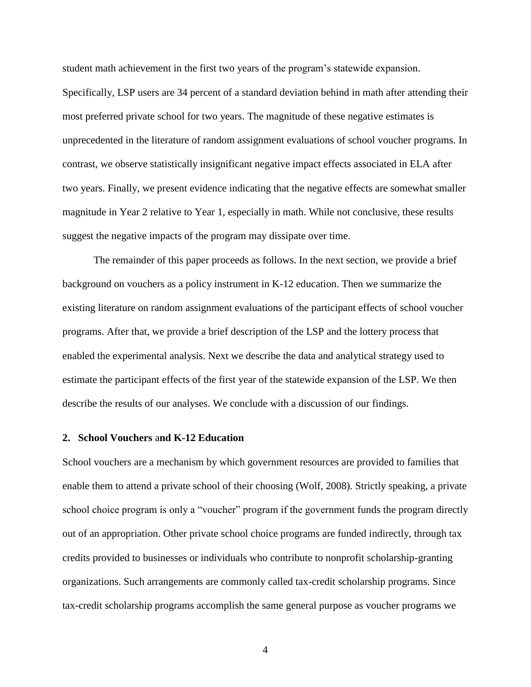student math achievement in the first two years of the program's statewide expansion. Specifically, LSP users are 34 percent of a standard deviation behind in math after attending their most preferred private school for two years. The magnitude of these negative estimates is unprecedented in the literature of random assignment evaluations of school voucher programs. In contrast, we observe statistically insignificant negative impact effects associated in ELA after two years. Finally, we present evidence indicating that the negative effects are somewhat smaller magnitude in Year 2 relative to Year 1, especially in math. While not conclusive, these results suggest the negative impacts of the program may dissipate over time.

The remainder of this paper proceeds as follows. In the next section, we provide a brief background on vouchers as a policy instrument in K-12 education. Then we summarize the existing literature on random assignment evaluations of the participant effects of school voucher programs. After that, we provide a brief description of the LSP and the lottery process that enabled the experimental analysis. Next we describe the data and analytical strategy used to estimate the participant effects of the first year of the statewide expansion of the LSP. We then describe the results of our analyses. We conclude with a discussion of our findings.

#### **2. School Vouchers** a**nd K-12 Education**

School vouchers are a mechanism by which government resources are provided to families that enable them to attend a private school of their choosing (Wolf, 2008). Strictly speaking, a private school choice program is only a "voucher" program if the government funds the program directly out of an appropriation. Other private school choice programs are funded indirectly, through tax credits provided to businesses or individuals who contribute to nonprofit scholarship-granting organizations. Such arrangements are commonly called tax-credit scholarship programs. Since tax-credit scholarship programs accomplish the same general purpose as voucher programs we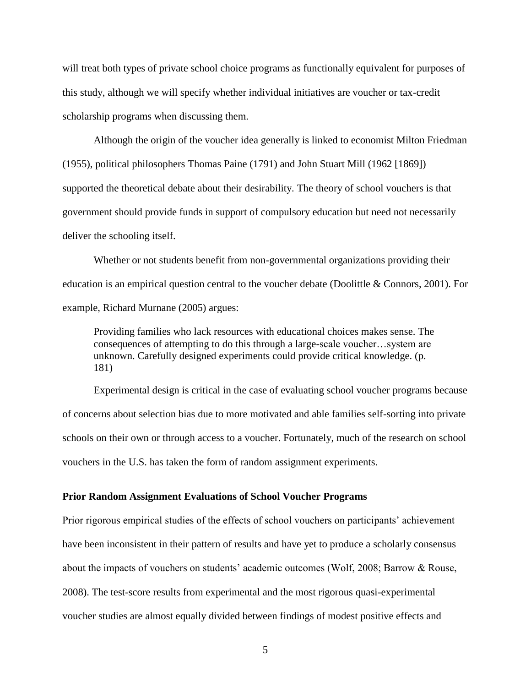will treat both types of private school choice programs as functionally equivalent for purposes of this study, although we will specify whether individual initiatives are voucher or tax-credit scholarship programs when discussing them.

Although the origin of the voucher idea generally is linked to economist Milton Friedman (1955), political philosophers Thomas Paine (1791) and John Stuart Mill (1962 [1869]) supported the theoretical debate about their desirability. The theory of school vouchers is that government should provide funds in support of compulsory education but need not necessarily deliver the schooling itself.

Whether or not students benefit from non-governmental organizations providing their education is an empirical question central to the voucher debate (Doolittle  $&$  Connors, 2001). For example, Richard Murnane (2005) argues:

Providing families who lack resources with educational choices makes sense. The consequences of attempting to do this through a large-scale voucher…system are unknown. Carefully designed experiments could provide critical knowledge. (p. 181)

Experimental design is critical in the case of evaluating school voucher programs because of concerns about selection bias due to more motivated and able families self-sorting into private schools on their own or through access to a voucher. Fortunately, much of the research on school vouchers in the U.S. has taken the form of random assignment experiments.

#### **Prior Random Assignment Evaluations of School Voucher Programs**

Prior rigorous empirical studies of the effects of school vouchers on participants' achievement have been inconsistent in their pattern of results and have yet to produce a scholarly consensus about the impacts of vouchers on students' academic outcomes (Wolf, 2008; Barrow & Rouse, 2008). The test-score results from experimental and the most rigorous quasi-experimental voucher studies are almost equally divided between findings of modest positive effects and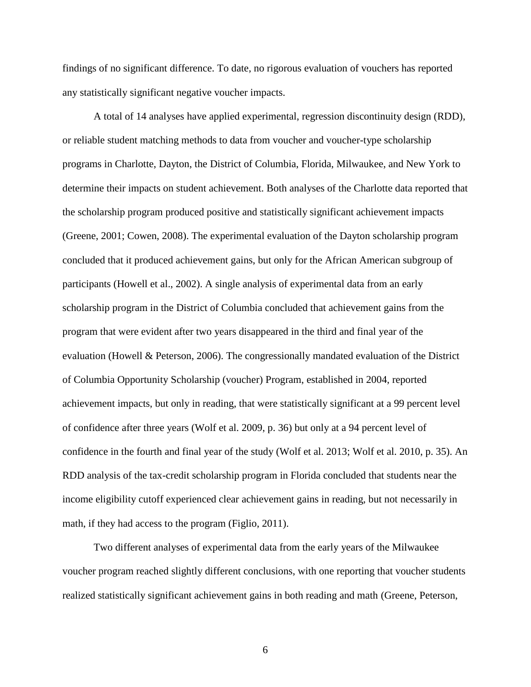findings of no significant difference. To date, no rigorous evaluation of vouchers has reported any statistically significant negative voucher impacts.

A total of 14 analyses have applied experimental, regression discontinuity design (RDD), or reliable student matching methods to data from voucher and voucher-type scholarship programs in Charlotte, Dayton, the District of Columbia, Florida, Milwaukee, and New York to determine their impacts on student achievement. Both analyses of the Charlotte data reported that the scholarship program produced positive and statistically significant achievement impacts (Greene, 2001; Cowen, 2008). The experimental evaluation of the Dayton scholarship program concluded that it produced achievement gains, but only for the African American subgroup of participants (Howell et al., 2002). A single analysis of experimental data from an early scholarship program in the District of Columbia concluded that achievement gains from the program that were evident after two years disappeared in the third and final year of the evaluation (Howell & Peterson, 2006). The congressionally mandated evaluation of the District of Columbia Opportunity Scholarship (voucher) Program, established in 2004, reported achievement impacts, but only in reading, that were statistically significant at a 99 percent level of confidence after three years (Wolf et al. 2009, p. 36) but only at a 94 percent level of confidence in the fourth and final year of the study (Wolf et al. 2013; Wolf et al. 2010, p. 35). An RDD analysis of the tax-credit scholarship program in Florida concluded that students near the income eligibility cutoff experienced clear achievement gains in reading, but not necessarily in math, if they had access to the program (Figlio, 2011).

Two different analyses of experimental data from the early years of the Milwaukee voucher program reached slightly different conclusions, with one reporting that voucher students realized statistically significant achievement gains in both reading and math (Greene, Peterson,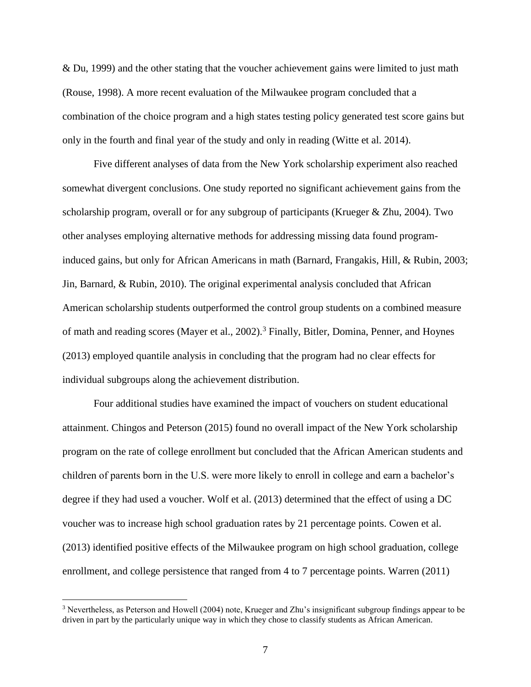& Du, 1999) and the other stating that the voucher achievement gains were limited to just math (Rouse, 1998). A more recent evaluation of the Milwaukee program concluded that a combination of the choice program and a high states testing policy generated test score gains but only in the fourth and final year of the study and only in reading (Witte et al. 2014).

Five different analyses of data from the New York scholarship experiment also reached somewhat divergent conclusions. One study reported no significant achievement gains from the scholarship program, overall or for any subgroup of participants (Krueger & Zhu, 2004). Two other analyses employing alternative methods for addressing missing data found programinduced gains, but only for African Americans in math (Barnard, Frangakis, Hill, & Rubin, 2003; Jin, Barnard,  $\&$  Rubin, 2010). The original experimental analysis concluded that African American scholarship students outperformed the control group students on a combined measure of math and reading scores (Mayer et al., 2002).<sup>3</sup> Finally, Bitler, Domina, Penner, and Hoynes (2013) employed quantile analysis in concluding that the program had no clear effects for individual subgroups along the achievement distribution.

Four additional studies have examined the impact of vouchers on student educational attainment. Chingos and Peterson (2015) found no overall impact of the New York scholarship program on the rate of college enrollment but concluded that the African American students and children of parents born in the U.S. were more likely to enroll in college and earn a bachelor's degree if they had used a voucher. Wolf et al. (2013) determined that the effect of using a DC voucher was to increase high school graduation rates by 21 percentage points. Cowen et al. (2013) identified positive effects of the Milwaukee program on high school graduation, college enrollment, and college persistence that ranged from 4 to 7 percentage points. Warren (2011)

<sup>3</sup> Nevertheless, as Peterson and Howell (2004) note, Krueger and Zhu's insignificant subgroup findings appear to be driven in part by the particularly unique way in which they chose to classify students as African American.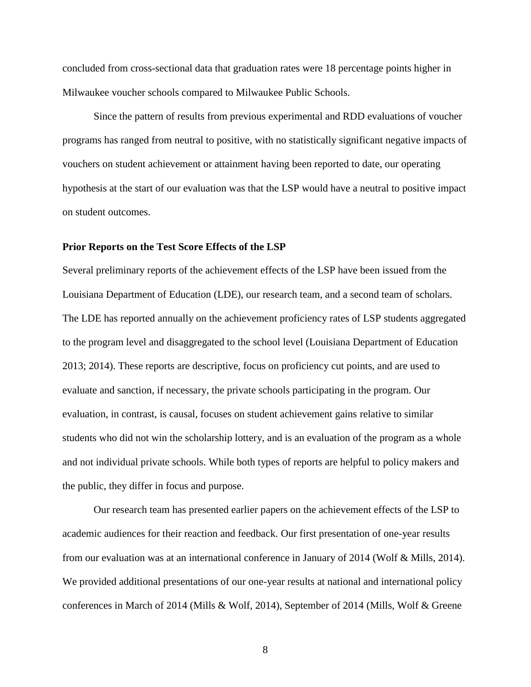concluded from cross-sectional data that graduation rates were 18 percentage points higher in Milwaukee voucher schools compared to Milwaukee Public Schools.

Since the pattern of results from previous experimental and RDD evaluations of voucher programs has ranged from neutral to positive, with no statistically significant negative impacts of vouchers on student achievement or attainment having been reported to date, our operating hypothesis at the start of our evaluation was that the LSP would have a neutral to positive impact on student outcomes.

#### **Prior Reports on the Test Score Effects of the LSP**

Several preliminary reports of the achievement effects of the LSP have been issued from the Louisiana Department of Education (LDE), our research team, and a second team of scholars. The LDE has reported annually on the achievement proficiency rates of LSP students aggregated to the program level and disaggregated to the school level (Louisiana Department of Education 2013; 2014). These reports are descriptive, focus on proficiency cut points, and are used to evaluate and sanction, if necessary, the private schools participating in the program. Our evaluation, in contrast, is causal, focuses on student achievement gains relative to similar students who did not win the scholarship lottery, and is an evaluation of the program as a whole and not individual private schools. While both types of reports are helpful to policy makers and the public, they differ in focus and purpose.

Our research team has presented earlier papers on the achievement effects of the LSP to academic audiences for their reaction and feedback. Our first presentation of one-year results from our evaluation was at an international conference in January of 2014 (Wolf & Mills, 2014). We provided additional presentations of our one-year results at national and international policy conferences in March of 2014 (Mills & Wolf, 2014), September of 2014 (Mills, Wolf & Greene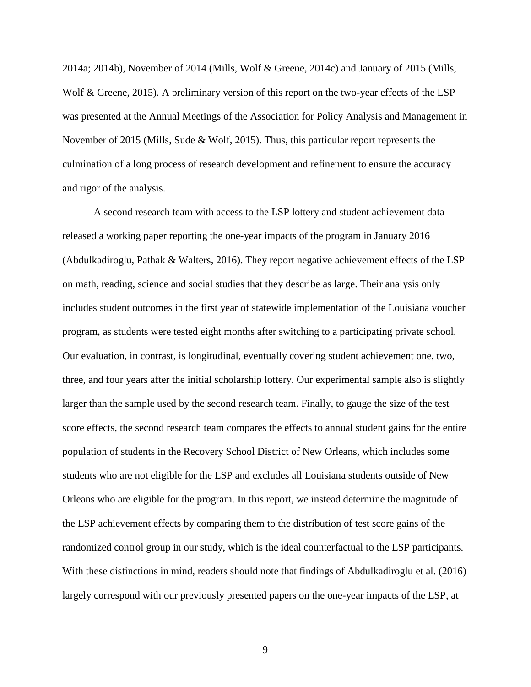2014a; 2014b), November of 2014 (Mills, Wolf & Greene, 2014c) and January of 2015 (Mills, Wolf & Greene, 2015). A preliminary version of this report on the two-year effects of the LSP was presented at the Annual Meetings of the Association for Policy Analysis and Management in November of 2015 (Mills, Sude & Wolf, 2015). Thus, this particular report represents the culmination of a long process of research development and refinement to ensure the accuracy and rigor of the analysis.

A second research team with access to the LSP lottery and student achievement data released a working paper reporting the one-year impacts of the program in January 2016 (Abdulkadiroglu, Pathak & Walters, 2016). They report negative achievement effects of the LSP on math, reading, science and social studies that they describe as large. Their analysis only includes student outcomes in the first year of statewide implementation of the Louisiana voucher program, as students were tested eight months after switching to a participating private school. Our evaluation, in contrast, is longitudinal, eventually covering student achievement one, two, three, and four years after the initial scholarship lottery. Our experimental sample also is slightly larger than the sample used by the second research team. Finally, to gauge the size of the test score effects, the second research team compares the effects to annual student gains for the entire population of students in the Recovery School District of New Orleans, which includes some students who are not eligible for the LSP and excludes all Louisiana students outside of New Orleans who are eligible for the program. In this report, we instead determine the magnitude of the LSP achievement effects by comparing them to the distribution of test score gains of the randomized control group in our study, which is the ideal counterfactual to the LSP participants. With these distinctions in mind, readers should note that findings of Abdulkadiroglu et al. (2016) largely correspond with our previously presented papers on the one-year impacts of the LSP, at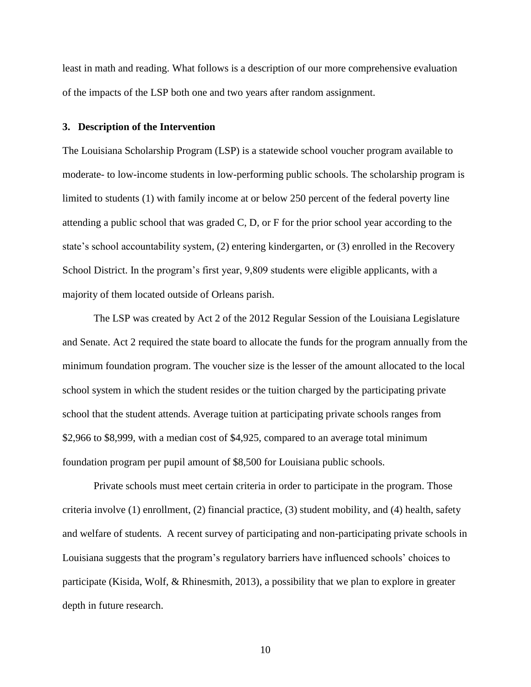least in math and reading. What follows is a description of our more comprehensive evaluation of the impacts of the LSP both one and two years after random assignment.

#### **3. Description of the Intervention**

The Louisiana Scholarship Program (LSP) is a statewide school voucher program available to moderate- to low-income students in low-performing public schools. The scholarship program is limited to students (1) with family income at or below 250 percent of the federal poverty line attending a public school that was graded C, D, or F for the prior school year according to the state's school accountability system, (2) entering kindergarten, or (3) enrolled in the Recovery School District. In the program's first year, 9,809 students were eligible applicants, with a majority of them located outside of Orleans parish.

The LSP was created by Act 2 of the 2012 Regular Session of the Louisiana Legislature and Senate. Act 2 required the state board to allocate the funds for the program annually from the minimum foundation program. The voucher size is the lesser of the amount allocated to the local school system in which the student resides or the tuition charged by the participating private school that the student attends. Average tuition at participating private schools ranges from \$2,966 to \$8,999, with a median cost of \$4,925, compared to an average total minimum foundation program per pupil amount of \$8,500 for Louisiana public schools.

Private schools must meet certain criteria in order to participate in the program. Those criteria involve (1) enrollment, (2) financial practice, (3) student mobility, and (4) health, safety and welfare of students. A recent survey of participating and non-participating private schools in Louisiana suggests that the program's regulatory barriers have influenced schools' choices to participate (Kisida, Wolf, & Rhinesmith, 2013), a possibility that we plan to explore in greater depth in future research.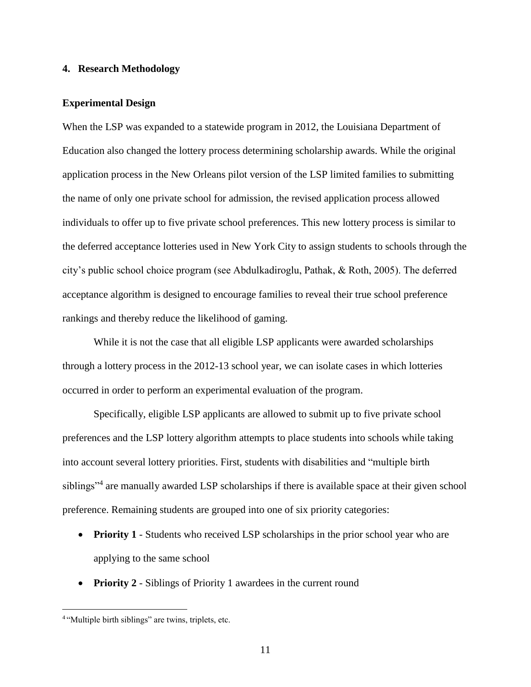#### **4. Research Methodology**

#### **Experimental Design**

When the LSP was expanded to a statewide program in 2012, the Louisiana Department of Education also changed the lottery process determining scholarship awards. While the original application process in the New Orleans pilot version of the LSP limited families to submitting the name of only one private school for admission, the revised application process allowed individuals to offer up to five private school preferences. This new lottery process is similar to the deferred acceptance lotteries used in New York City to assign students to schools through the city's public school choice program (see Abdulkadiroglu, Pathak, & Roth, 2005). The deferred acceptance algorithm is designed to encourage families to reveal their true school preference rankings and thereby reduce the likelihood of gaming.

While it is not the case that all eligible LSP applicants were awarded scholarships through a lottery process in the 2012-13 school year, we can isolate cases in which lotteries occurred in order to perform an experimental evaluation of the program.

Specifically, eligible LSP applicants are allowed to submit up to five private school preferences and the LSP lottery algorithm attempts to place students into schools while taking into account several lottery priorities. First, students with disabilities and "multiple birth siblings<sup>"4</sup> are manually awarded LSP scholarships if there is available space at their given school preference. Remaining students are grouped into one of six priority categories:

- **Priority 1** Students who received LSP scholarships in the prior school year who are applying to the same school
- **Priority 2** Siblings of Priority 1 awardees in the current round

<sup>4</sup> "Multiple birth siblings" are twins, triplets, etc.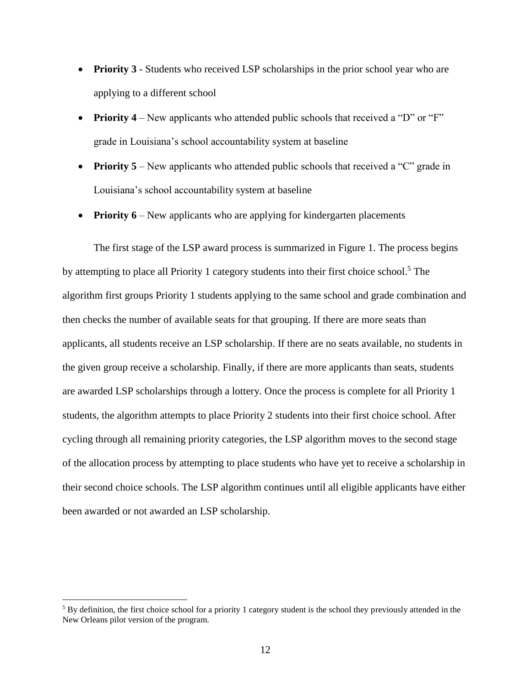- Priority 3 Students who received LSP scholarships in the prior school year who are applying to a different school
- **Priority 4** New applicants who attended public schools that received a "D" or "F" grade in Louisiana's school accountability system at baseline
- **Priority 5** New applicants who attended public schools that received a "C" grade in Louisiana's school accountability system at baseline
- **Priority 6** New applicants who are applying for kindergarten placements

The first stage of the LSP award process is summarized in Figure 1. The process begins by attempting to place all Priority 1 category students into their first choice school.<sup>5</sup> The algorithm first groups Priority 1 students applying to the same school and grade combination and then checks the number of available seats for that grouping. If there are more seats than applicants, all students receive an LSP scholarship. If there are no seats available, no students in the given group receive a scholarship. Finally, if there are more applicants than seats, students are awarded LSP scholarships through a lottery. Once the process is complete for all Priority 1 students, the algorithm attempts to place Priority 2 students into their first choice school. After cycling through all remaining priority categories, the LSP algorithm moves to the second stage of the allocation process by attempting to place students who have yet to receive a scholarship in their second choice schools. The LSP algorithm continues until all eligible applicants have either been awarded or not awarded an LSP scholarship.

 $5$  By definition, the first choice school for a priority 1 category student is the school they previously attended in the New Orleans pilot version of the program.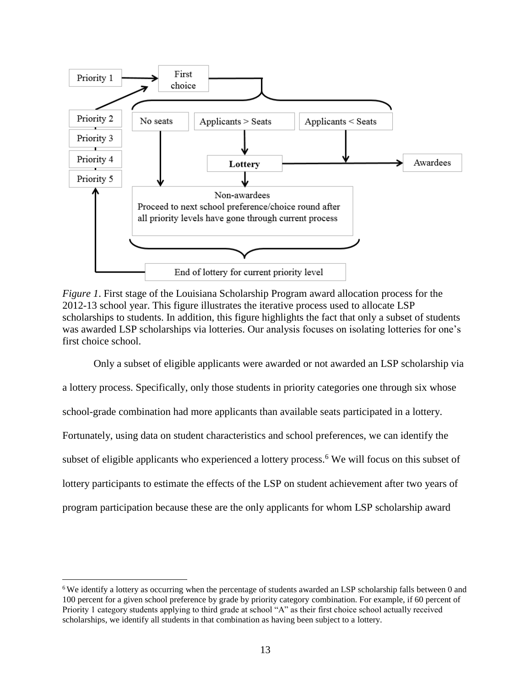

*Figure 1*. First stage of the Louisiana Scholarship Program award allocation process for the 2012-13 school year. This figure illustrates the iterative process used to allocate LSP scholarships to students. In addition, this figure highlights the fact that only a subset of students was awarded LSP scholarships via lotteries. Our analysis focuses on isolating lotteries for one's first choice school.

Only a subset of eligible applicants were awarded or not awarded an LSP scholarship via a lottery process. Specifically, only those students in priority categories one through six whose school-grade combination had more applicants than available seats participated in a lottery. Fortunately, using data on student characteristics and school preferences, we can identify the subset of eligible applicants who experienced a lottery process.<sup>6</sup> We will focus on this subset of lottery participants to estimate the effects of the LSP on student achievement after two years of program participation because these are the only applicants for whom LSP scholarship award

<sup>6</sup> We identify a lottery as occurring when the percentage of students awarded an LSP scholarship falls between 0 and 100 percent for a given school preference by grade by priority category combination. For example, if 60 percent of Priority 1 category students applying to third grade at school "A" as their first choice school actually received scholarships, we identify all students in that combination as having been subject to a lottery.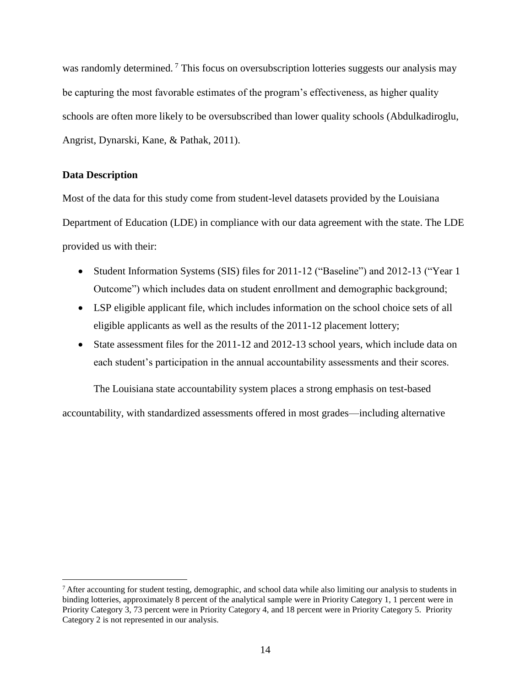was randomly determined.<sup>7</sup> This focus on oversubscription lotteries suggests our analysis may be capturing the most favorable estimates of the program's effectiveness, as higher quality schools are often more likely to be oversubscribed than lower quality schools (Abdulkadiroglu, Angrist, Dynarski, Kane, & Pathak, 2011).

### **Data Description**

 $\overline{a}$ 

Most of the data for this study come from student-level datasets provided by the Louisiana Department of Education (LDE) in compliance with our data agreement with the state. The LDE provided us with their:

- Student Information Systems (SIS) files for 2011-12 ("Baseline") and 2012-13 ("Year 1 Outcome") which includes data on student enrollment and demographic background;
- LSP eligible applicant file, which includes information on the school choice sets of all eligible applicants as well as the results of the 2011-12 placement lottery;
- State assessment files for the 2011-12 and 2012-13 school years, which include data on each student's participation in the annual accountability assessments and their scores.

The Louisiana state accountability system places a strong emphasis on test-based accountability, with standardized assessments offered in most grades—including alternative

 $<sup>7</sup>$  After accounting for student testing, demographic, and school data while also limiting our analysis to students in</sup> binding lotteries, approximately 8 percent of the analytical sample were in Priority Category 1, 1 percent were in Priority Category 3, 73 percent were in Priority Category 4, and 18 percent were in Priority Category 5. Priority Category 2 is not represented in our analysis.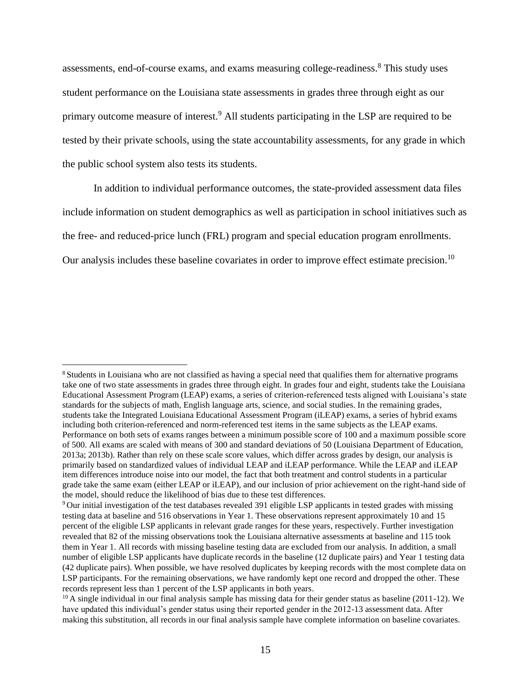assessments, end-of-course exams, and exams measuring college-readiness.<sup>8</sup> This study uses student performance on the Louisiana state assessments in grades three through eight as our primary outcome measure of interest.<sup>9</sup> All students participating in the LSP are required to be tested by their private schools, using the state accountability assessments, for any grade in which the public school system also tests its students.

In addition to individual performance outcomes, the state-provided assessment data files include information on student demographics as well as participation in school initiatives such as the free- and reduced-price lunch (FRL) program and special education program enrollments. Our analysis includes these baseline covariates in order to improve effect estimate precision.<sup>10</sup>

<sup>8</sup> Students in Louisiana who are not classified as having a special need that qualifies them for alternative programs take one of two state assessments in grades three through eight. In grades four and eight, students take the Louisiana Educational Assessment Program (LEAP) exams, a series of criterion-referenced tests aligned with Louisiana's state standards for the subjects of math, English language arts, science, and social studies. In the remaining grades, students take the Integrated Louisiana Educational Assessment Program (iLEAP) exams, a series of hybrid exams including both criterion-referenced and norm-referenced test items in the same subjects as the LEAP exams. Performance on both sets of exams ranges between a minimum possible score of 100 and a maximum possible score of 500. All exams are scaled with means of 300 and standard deviations of 50 (Louisiana Department of Education, 2013a; 2013b). Rather than rely on these scale score values, which differ across grades by design, our analysis is primarily based on standardized values of individual LEAP and iLEAP performance. While the LEAP and iLEAP item differences introduce noise into our model, the fact that both treatment and control students in a particular grade take the same exam (either LEAP or iLEAP), and our inclusion of prior achievement on the right-hand side of the model, should reduce the likelihood of bias due to these test differences.

<sup>9</sup> Our initial investigation of the test databases revealed 391 eligible LSP applicants in tested grades with missing testing data at baseline and 516 observations in Year 1. These observations represent approximately 10 and 15 percent of the eligible LSP applicants in relevant grade ranges for these years, respectively. Further investigation revealed that 82 of the missing observations took the Louisiana alternative assessments at baseline and 115 took them in Year 1. All records with missing baseline testing data are excluded from our analysis. In addition, a small number of eligible LSP applicants have duplicate records in the baseline (12 duplicate pairs) and Year 1 testing data (42 duplicate pairs). When possible, we have resolved duplicates by keeping records with the most complete data on LSP participants. For the remaining observations, we have randomly kept one record and dropped the other. These records represent less than 1 percent of the LSP applicants in both years.

 $10$  A single individual in our final analysis sample has missing data for their gender status as baseline (2011-12). We have updated this individual's gender status using their reported gender in the 2012-13 assessment data. After making this substitution, all records in our final analysis sample have complete information on baseline covariates.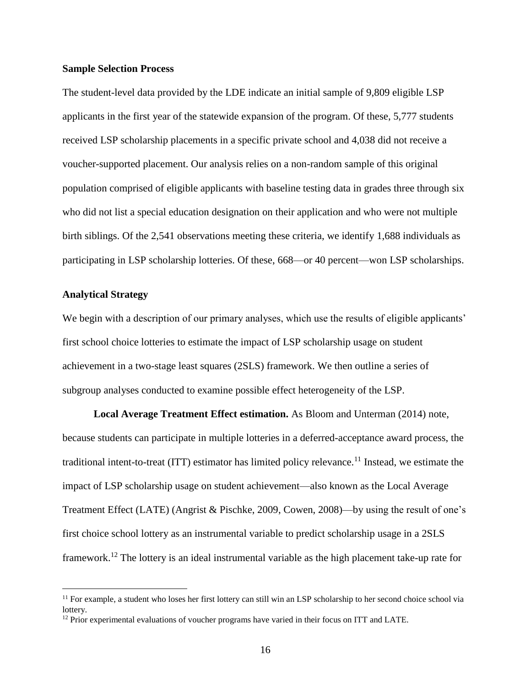#### **Sample Selection Process**

The student-level data provided by the LDE indicate an initial sample of 9,809 eligible LSP applicants in the first year of the statewide expansion of the program. Of these, 5,777 students received LSP scholarship placements in a specific private school and 4,038 did not receive a voucher-supported placement. Our analysis relies on a non-random sample of this original population comprised of eligible applicants with baseline testing data in grades three through six who did not list a special education designation on their application and who were not multiple birth siblings. Of the 2,541 observations meeting these criteria, we identify 1,688 individuals as participating in LSP scholarship lotteries. Of these, 668—or 40 percent—won LSP scholarships.

#### **Analytical Strategy**

 $\overline{a}$ 

We begin with a description of our primary analyses, which use the results of eligible applicants' first school choice lotteries to estimate the impact of LSP scholarship usage on student achievement in a two-stage least squares (2SLS) framework. We then outline a series of subgroup analyses conducted to examine possible effect heterogeneity of the LSP.

**Local Average Treatment Effect estimation.** As Bloom and Unterman (2014) note, because students can participate in multiple lotteries in a deferred-acceptance award process, the traditional intent-to-treat (ITT) estimator has limited policy relevance.<sup>11</sup> Instead, we estimate the impact of LSP scholarship usage on student achievement—also known as the Local Average Treatment Effect (LATE) (Angrist & Pischke, 2009, Cowen, 2008)—by using the result of one's first choice school lottery as an instrumental variable to predict scholarship usage in a 2SLS framework.<sup>12</sup> The lottery is an ideal instrumental variable as the high placement take-up rate for

 $11$  For example, a student who loses her first lottery can still win an LSP scholarship to her second choice school via lottery.

 $12$  Prior experimental evaluations of voucher programs have varied in their focus on ITT and LATE.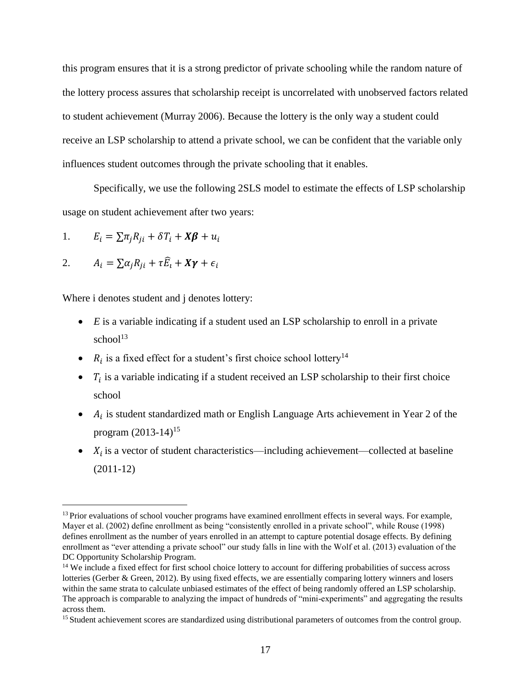this program ensures that it is a strong predictor of private schooling while the random nature of the lottery process assures that scholarship receipt is uncorrelated with unobserved factors related to student achievement (Murray 2006). Because the lottery is the only way a student could receive an LSP scholarship to attend a private school, we can be confident that the variable only influences student outcomes through the private schooling that it enables.

Specifically, we use the following 2SLS model to estimate the effects of LSP scholarship usage on student achievement after two years:

1. 
$$
E_i = \sum \pi_j R_{ji} + \delta T_i + X\beta + u_i
$$

2. 
$$
A_i = \sum \alpha_j R_{ji} + \tau \widehat{E}_i + X\gamma + \epsilon_i
$$

 $\overline{a}$ 

Where i denotes student and j denotes lottery:

- *E* is a variable indicating if a student used an LSP scholarship to enroll in a private school $13$
- $R_i$  is a fixed effect for a student's first choice school lottery<sup>14</sup>
- $\bullet$   $T_i$  is a variable indicating if a student received an LSP scholarship to their first choice school
- $A_i$  is student standardized math or English Language Arts achievement in Year 2 of the program (2013-14) 15
- $X_i$  is a vector of student characteristics—including achievement—collected at baseline (2011-12)

<sup>&</sup>lt;sup>13</sup> Prior evaluations of school voucher programs have examined enrollment effects in several ways. For example, Mayer et al. (2002) define enrollment as being "consistently enrolled in a private school", while Rouse (1998) defines enrollment as the number of years enrolled in an attempt to capture potential dosage effects. By defining enrollment as "ever attending a private school" our study falls in line with the Wolf et al. (2013) evaluation of the DC Opportunity Scholarship Program.

<sup>&</sup>lt;sup>14</sup> We include a fixed effect for first school choice lottery to account for differing probabilities of success across lotteries (Gerber & Green, 2012). By using fixed effects, we are essentially comparing lottery winners and losers within the same strata to calculate unbiased estimates of the effect of being randomly offered an LSP scholarship. The approach is comparable to analyzing the impact of hundreds of "mini-experiments" and aggregating the results across them.

<sup>&</sup>lt;sup>15</sup> Student achievement scores are standardized using distributional parameters of outcomes from the control group.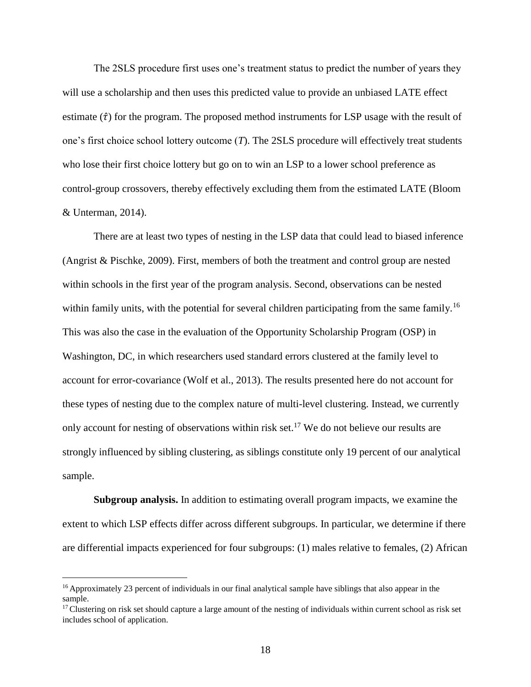The 2SLS procedure first uses one's treatment status to predict the number of years they will use a scholarship and then uses this predicted value to provide an unbiased LATE effect estimate  $(\hat{\tau})$  for the program. The proposed method instruments for LSP usage with the result of one's first choice school lottery outcome (*T*). The 2SLS procedure will effectively treat students who lose their first choice lottery but go on to win an LSP to a lower school preference as control-group crossovers, thereby effectively excluding them from the estimated LATE (Bloom & Unterman, 2014).

There are at least two types of nesting in the LSP data that could lead to biased inference (Angrist & Pischke, 2009). First, members of both the treatment and control group are nested within schools in the first year of the program analysis. Second, observations can be nested within family units, with the potential for several children participating from the same family.<sup>16</sup> This was also the case in the evaluation of the Opportunity Scholarship Program (OSP) in Washington, DC, in which researchers used standard errors clustered at the family level to account for error-covariance (Wolf et al., 2013). The results presented here do not account for these types of nesting due to the complex nature of multi-level clustering. Instead, we currently only account for nesting of observations within risk set.<sup>17</sup> We do not believe our results are strongly influenced by sibling clustering, as siblings constitute only 19 percent of our analytical sample.

**Subgroup analysis.** In addition to estimating overall program impacts, we examine the extent to which LSP effects differ across different subgroups. In particular, we determine if there are differential impacts experienced for four subgroups: (1) males relative to females, (2) African

<sup>&</sup>lt;sup>16</sup> Approximately 23 percent of individuals in our final analytical sample have siblings that also appear in the sample.

 $17$  Clustering on risk set should capture a large amount of the nesting of individuals within current school as risk set includes school of application.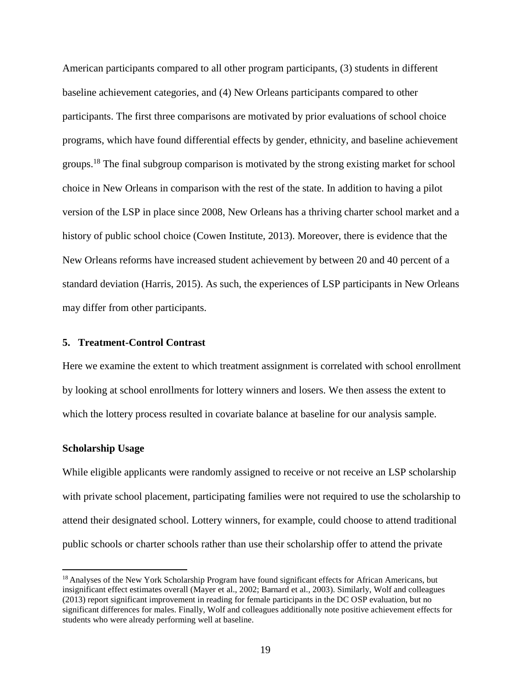American participants compared to all other program participants, (3) students in different baseline achievement categories, and (4) New Orleans participants compared to other participants. The first three comparisons are motivated by prior evaluations of school choice programs, which have found differential effects by gender, ethnicity, and baseline achievement groups.<sup>18</sup> The final subgroup comparison is motivated by the strong existing market for school choice in New Orleans in comparison with the rest of the state. In addition to having a pilot version of the LSP in place since 2008, New Orleans has a thriving charter school market and a history of public school choice (Cowen Institute, 2013). Moreover, there is evidence that the New Orleans reforms have increased student achievement by between 20 and 40 percent of a standard deviation (Harris, 2015). As such, the experiences of LSP participants in New Orleans may differ from other participants.

#### **5. Treatment-Control Contrast**

Here we examine the extent to which treatment assignment is correlated with school enrollment by looking at school enrollments for lottery winners and losers. We then assess the extent to which the lottery process resulted in covariate balance at baseline for our analysis sample.

#### **Scholarship Usage**

 $\overline{a}$ 

While eligible applicants were randomly assigned to receive or not receive an LSP scholarship with private school placement, participating families were not required to use the scholarship to attend their designated school. Lottery winners, for example, could choose to attend traditional public schools or charter schools rather than use their scholarship offer to attend the private

<sup>&</sup>lt;sup>18</sup> Analyses of the New York Scholarship Program have found significant effects for African Americans, but insignificant effect estimates overall (Mayer et al., 2002; Barnard et al., 2003). Similarly, Wolf and colleagues (2013) report significant improvement in reading for female participants in the DC OSP evaluation, but no significant differences for males. Finally, Wolf and colleagues additionally note positive achievement effects for students who were already performing well at baseline.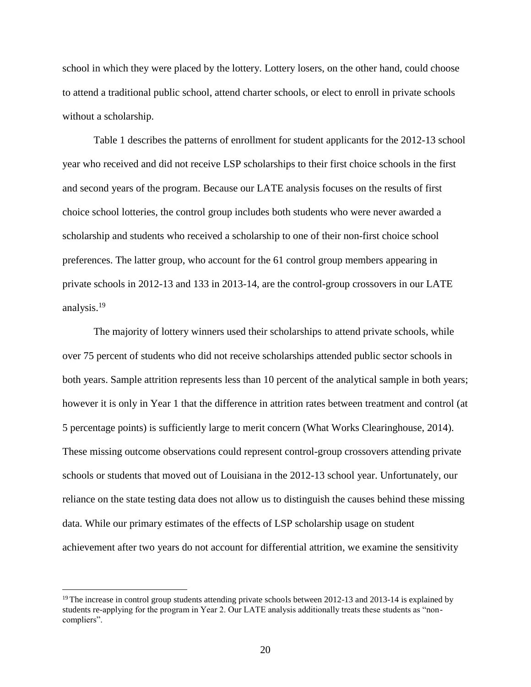school in which they were placed by the lottery. Lottery losers, on the other hand, could choose to attend a traditional public school, attend charter schools, or elect to enroll in private schools without a scholarship.

Table 1 describes the patterns of enrollment for student applicants for the 2012-13 school year who received and did not receive LSP scholarships to their first choice schools in the first and second years of the program. Because our LATE analysis focuses on the results of first choice school lotteries, the control group includes both students who were never awarded a scholarship and students who received a scholarship to one of their non-first choice school preferences. The latter group, who account for the 61 control group members appearing in private schools in 2012-13 and 133 in 2013-14, are the control-group crossovers in our LATE analysis.<sup>19</sup>

The majority of lottery winners used their scholarships to attend private schools, while over 75 percent of students who did not receive scholarships attended public sector schools in both years. Sample attrition represents less than 10 percent of the analytical sample in both years; however it is only in Year 1 that the difference in attrition rates between treatment and control (at 5 percentage points) is sufficiently large to merit concern (What Works Clearinghouse, 2014). These missing outcome observations could represent control-group crossovers attending private schools or students that moved out of Louisiana in the 2012-13 school year. Unfortunately, our reliance on the state testing data does not allow us to distinguish the causes behind these missing data. While our primary estimates of the effects of LSP scholarship usage on student achievement after two years do not account for differential attrition, we examine the sensitivity

<sup>&</sup>lt;sup>19</sup> The increase in control group students attending private schools between 2012-13 and 2013-14 is explained by students re-applying for the program in Year 2. Our LATE analysis additionally treats these students as "noncompliers".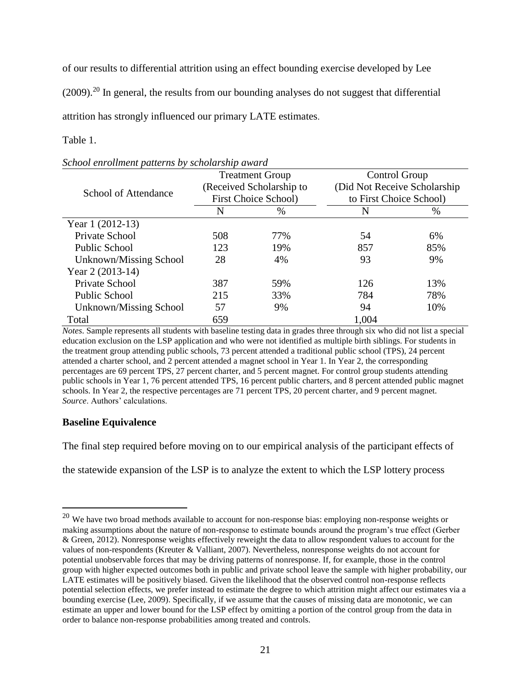of our results to differential attrition using an effect bounding exercise developed by Lee

 $(2009)$ <sup>20</sup> In general, the results from our bounding analyses do not suggest that differential

attrition has strongly influenced our primary LATE estimates.

# Table 1.

|                        |     | <b>Treatment Group</b>      | Control Group                 |                         |  |  |
|------------------------|-----|-----------------------------|-------------------------------|-------------------------|--|--|
|                        |     | (Received Scholarship to    | (Did Not Receive Scholarship) |                         |  |  |
| School of Attendance   |     | <b>First Choice School)</b> |                               | to First Choice School) |  |  |
|                        | N   | %                           | N                             | %                       |  |  |
| Year 1 (2012-13)       |     |                             |                               |                         |  |  |
| Private School         | 508 | 77%                         | 54                            | 6%                      |  |  |
| Public School          | 123 | 19%                         | 857                           | 85%                     |  |  |
| Unknown/Missing School | 28  | 4%                          | 93                            | 9%                      |  |  |
| Year 2 (2013-14)       |     |                             |                               |                         |  |  |
| Private School         | 387 | 59%                         | 126                           | 13%                     |  |  |
| <b>Public School</b>   | 215 | 33%                         | 784                           | 78%                     |  |  |
| Unknown/Missing School | 57  | 9%                          | 94                            | 10%                     |  |  |
| Total                  | 659 |                             | 1,004                         |                         |  |  |

*School enrollment patterns by scholarship award*

*Notes*. Sample represents all students with baseline testing data in grades three through six who did not list a special education exclusion on the LSP application and who were not identified as multiple birth siblings. For students in the treatment group attending public schools, 73 percent attended a traditional public school (TPS), 24 percent attended a charter school, and 2 percent attended a magnet school in Year 1. In Year 2, the corresponding percentages are 69 percent TPS, 27 percent charter, and 5 percent magnet. For control group students attending public schools in Year 1, 76 percent attended TPS, 16 percent public charters, and 8 percent attended public magnet schools. In Year 2, the respective percentages are 71 percent TPS, 20 percent charter, and 9 percent magnet. *Source*. Authors' calculations.

# **Baseline Equivalence**

 $\overline{a}$ 

The final step required before moving on to our empirical analysis of the participant effects of

the statewide expansion of the LSP is to analyze the extent to which the LSP lottery process

<sup>&</sup>lt;sup>20</sup> We have two broad methods available to account for non-response bias: employing non-response weights or making assumptions about the nature of non-response to estimate bounds around the program's true effect (Gerber & Green, 2012). Nonresponse weights effectively reweight the data to allow respondent values to account for the values of non-respondents (Kreuter & Valliant, 2007). Nevertheless, nonresponse weights do not account for potential unobservable forces that may be driving patterns of nonresponse. If, for example, those in the control group with higher expected outcomes both in public and private school leave the sample with higher probability, our LATE estimates will be positively biased. Given the likelihood that the observed control non-response reflects potential selection effects, we prefer instead to estimate the degree to which attrition might affect our estimates via a bounding exercise (Lee, 2009). Specifically, if we assume that the causes of missing data are monotonic, we can estimate an upper and lower bound for the LSP effect by omitting a portion of the control group from the data in order to balance non-response probabilities among treated and controls.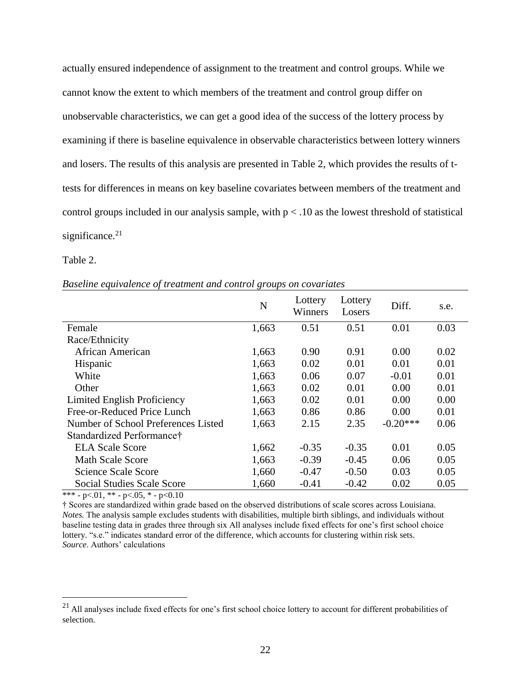actually ensured independence of assignment to the treatment and control groups. While we cannot know the extent to which members of the treatment and control group differ on unobservable characteristics, we can get a good idea of the success of the lottery process by examining if there is baseline equivalence in observable characteristics between lottery winners and losers. The results of this analysis are presented in Table 2, which provides the results of ttests for differences in means on key baseline covariates between members of the treatment and control groups included in our analysis sample, with  $p < 0.10$  as the lowest threshold of statistical significance. $21$ 

Table 2.

| Buseine equivalence of n'eaument and conn'or groups on covariancs | N     | Lottery<br>Winners | Lottery<br>Losers | Diff.      | s.e. |
|-------------------------------------------------------------------|-------|--------------------|-------------------|------------|------|
| Female                                                            | 1,663 | 0.51               | 0.51              | 0.01       | 0.03 |
| Race/Ethnicity                                                    |       |                    |                   |            |      |
| African American                                                  | 1,663 | 0.90               | 0.91              | 0.00       | 0.02 |
| Hispanic                                                          | 1,663 | 0.02               | 0.01              | 0.01       | 0.01 |
| White                                                             | 1,663 | 0.06               | 0.07              | $-0.01$    | 0.01 |
| Other                                                             | 1,663 | 0.02               | 0.01              | 0.00       | 0.01 |
| Limited English Proficiency                                       | 1,663 | 0.02               | 0.01              | 0.00       | 0.00 |
| Free-or-Reduced Price Lunch                                       | 1,663 | 0.86               | 0.86              | 0.00       | 0.01 |
| Number of School Preferences Listed                               | 1,663 | 2.15               | 2.35              | $-0.20***$ | 0.06 |
| Standardized Performance†                                         |       |                    |                   |            |      |
| <b>ELA Scale Score</b>                                            | 1,662 | $-0.35$            | $-0.35$           | 0.01       | 0.05 |
| <b>Math Scale Score</b>                                           | 1,663 | $-0.39$            | $-0.45$           | 0.06       | 0.05 |
| <b>Science Scale Score</b>                                        | 1,660 | $-0.47$            | $-0.50$           | 0.03       | 0.05 |
| <b>Social Studies Scale Score</b>                                 | 1,660 | $-0.41$            | $-0.42$           | 0.02       | 0.05 |

#### *Baseline equivalence of treatment and control groups on covariates*

\*\*\* - p<.01, \*\* - p<.05, \* - p<0.10

 $\overline{a}$ 

† Scores are standardized within grade based on the observed distributions of scale scores across Louisiana*. Notes.* The analysis sample excludes students with disabilities, multiple birth siblings, and individuals without baseline testing data in grades three through six All analyses include fixed effects for one's first school choice lottery. "s.e." indicates standard error of the difference, which accounts for clustering within risk sets. *Source*. Authors' calculations

<sup>&</sup>lt;sup>21</sup> All analyses include fixed effects for one's first school choice lottery to account for different probabilities of selection.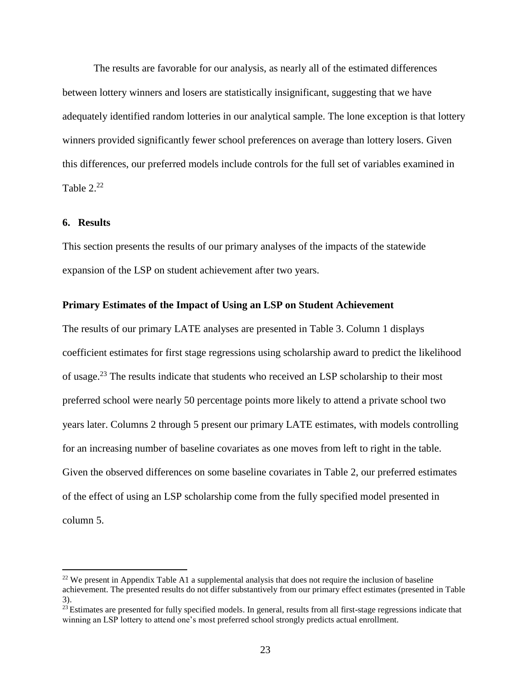The results are favorable for our analysis, as nearly all of the estimated differences between lottery winners and losers are statistically insignificant, suggesting that we have adequately identified random lotteries in our analytical sample. The lone exception is that lottery winners provided significantly fewer school preferences on average than lottery losers. Given this differences, our preferred models include controls for the full set of variables examined in Table  $2^{22}$ 

#### **6. Results**

 $\overline{a}$ 

This section presents the results of our primary analyses of the impacts of the statewide expansion of the LSP on student achievement after two years.

#### **Primary Estimates of the Impact of Using an LSP on Student Achievement**

The results of our primary LATE analyses are presented in Table 3. Column 1 displays coefficient estimates for first stage regressions using scholarship award to predict the likelihood of usage.<sup>23</sup> The results indicate that students who received an LSP scholarship to their most preferred school were nearly 50 percentage points more likely to attend a private school two years later. Columns 2 through 5 present our primary LATE estimates, with models controlling for an increasing number of baseline covariates as one moves from left to right in the table. Given the observed differences on some baseline covariates in Table 2, our preferred estimates of the effect of using an LSP scholarship come from the fully specified model presented in column 5.

<sup>&</sup>lt;sup>22</sup> We present in Appendix Table A1 a supplemental analysis that does not require the inclusion of baseline achievement. The presented results do not differ substantively from our primary effect estimates (presented in Table 3).

 $23$  Estimates are presented for fully specified models. In general, results from all first-stage regressions indicate that winning an LSP lottery to attend one's most preferred school strongly predicts actual enrollment.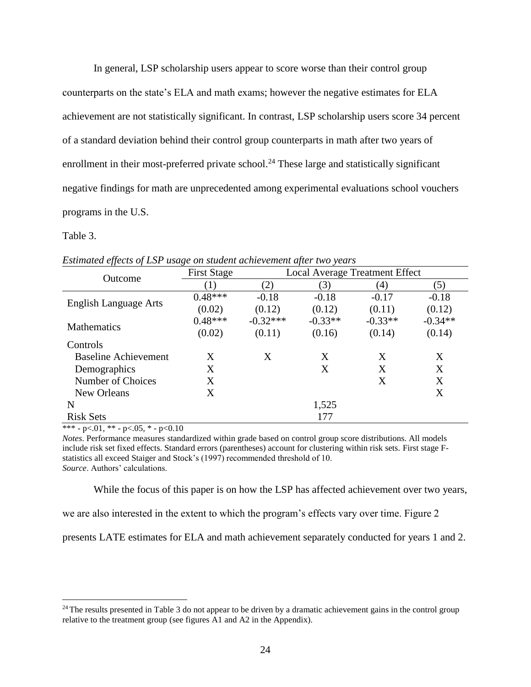In general, LSP scholarship users appear to score worse than their control group counterparts on the state's ELA and math exams; however the negative estimates for ELA achievement are not statistically significant. In contrast, LSP scholarship users score 34 percent of a standard deviation behind their control group counterparts in math after two years of enrollment in their most-preferred private school.<sup>24</sup> These large and statistically significant negative findings for math are unprecedented among experimental evaluations school vouchers programs in the U.S.

#### Table 3.

 $\overline{a}$ 

|                              | <b>First Stage</b> | <b>Local Average Treatment Effect</b> |           |           |           |  |
|------------------------------|--------------------|---------------------------------------|-----------|-----------|-----------|--|
| Outcome                      |                    | (2)                                   | (3)       | (4)       | (5)       |  |
|                              | $0.48***$          | $-0.18$                               | $-0.18$   | $-0.17$   | $-0.18$   |  |
| <b>English Language Arts</b> | (0.02)             | (0.12)                                | (0.12)    | (0.11)    | (0.12)    |  |
| <b>Mathematics</b>           | $0.48***$          | $-0.32***$                            | $-0.33**$ | $-0.33**$ | $-0.34**$ |  |
|                              | (0.02)             | (0.11)                                | (0.16)    | (0.14)    | (0.14)    |  |
| Controls                     |                    |                                       |           |           |           |  |
| <b>Baseline Achievement</b>  | X                  | X                                     | X         | X         | X         |  |
| Demographics                 | X                  |                                       | X         | X         | X         |  |
| Number of Choices            | X                  |                                       |           | X         | X         |  |
| New Orleans                  | Χ                  |                                       |           |           | X         |  |
| N                            |                    |                                       | 1,525     |           |           |  |
| <b>Risk Sets</b>             |                    |                                       | 177       |           |           |  |

*Estimated effects of LSP usage on student achievement after two years*

\*\*\* - p<.01, \*\* - p<.05, \* - p<0.10

*Notes*. Performance measures standardized within grade based on control group score distributions. All models include risk set fixed effects. Standard errors (parentheses) account for clustering within risk sets. First stage Fstatistics all exceed Staiger and Stock's (1997) recommended threshold of 10. *Source*. Authors' calculations.

While the focus of this paper is on how the LSP has affected achievement over two years,

we are also interested in the extent to which the program's effects vary over time. Figure 2

presents LATE estimates for ELA and math achievement separately conducted for years 1 and 2.

 $24$  The results presented in Table 3 do not appear to be driven by a dramatic achievement gains in the control group relative to the treatment group (see figures A1 and A2 in the Appendix).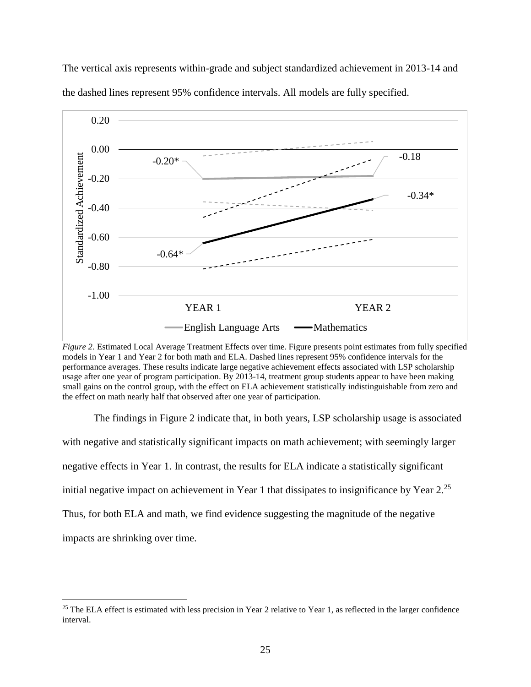The vertical axis represents within-grade and subject standardized achievement in 2013-14 and the dashed lines represent 95% confidence intervals. All models are fully specified.



*Figure 2*. Estimated Local Average Treatment Effects over time. Figure presents point estimates from fully specified models in Year 1 and Year 2 for both math and ELA. Dashed lines represent 95% confidence intervals for the performance averages. These results indicate large negative achievement effects associated with LSP scholarship usage after one year of program participation. By 2013-14, treatment group students appear to have been making small gains on the control group, with the effect on ELA achievement statistically indistinguishable from zero and the effect on math nearly half that observed after one year of participation.

The findings in Figure 2 indicate that, in both years, LSP scholarship usage is associated with negative and statistically significant impacts on math achievement; with seemingly larger negative effects in Year 1. In contrast, the results for ELA indicate a statistically significant initial negative impact on achievement in Year 1 that dissipates to insignificance by Year  $2.25$ Thus, for both ELA and math, we find evidence suggesting the magnitude of the negative impacts are shrinking over time.

<sup>&</sup>lt;sup>25</sup> The ELA effect is estimated with less precision in Year 2 relative to Year 1, as reflected in the larger confidence interval.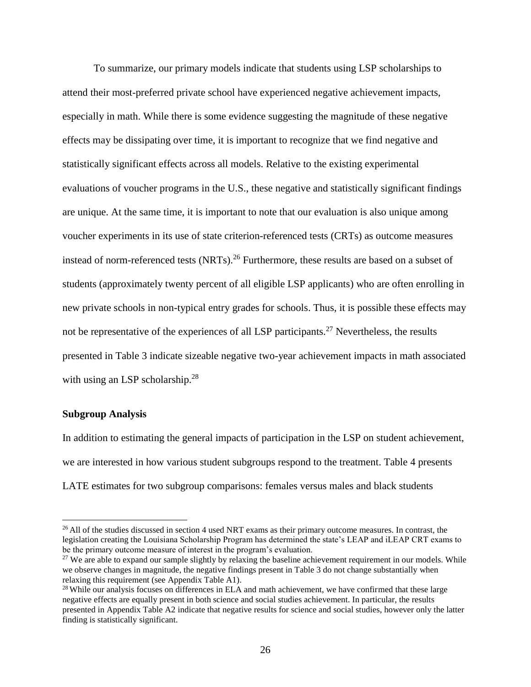To summarize, our primary models indicate that students using LSP scholarships to attend their most-preferred private school have experienced negative achievement impacts, especially in math. While there is some evidence suggesting the magnitude of these negative effects may be dissipating over time, it is important to recognize that we find negative and statistically significant effects across all models. Relative to the existing experimental evaluations of voucher programs in the U.S., these negative and statistically significant findings are unique. At the same time, it is important to note that our evaluation is also unique among voucher experiments in its use of state criterion-referenced tests (CRTs) as outcome measures instead of norm-referenced tests  $(NRTs)$ .<sup>26</sup> Furthermore, these results are based on a subset of students (approximately twenty percent of all eligible LSP applicants) who are often enrolling in new private schools in non-typical entry grades for schools. Thus, it is possible these effects may not be representative of the experiences of all LSP participants.<sup>27</sup> Nevertheless, the results presented in Table 3 indicate sizeable negative two-year achievement impacts in math associated with using an LSP scholarship.<sup>28</sup>

#### **Subgroup Analysis**

 $\overline{a}$ 

In addition to estimating the general impacts of participation in the LSP on student achievement, we are interested in how various student subgroups respond to the treatment. Table 4 presents LATE estimates for two subgroup comparisons: females versus males and black students

<sup>&</sup>lt;sup>26</sup> All of the studies discussed in section 4 used NRT exams as their primary outcome measures. In contrast, the legislation creating the Louisiana Scholarship Program has determined the state's LEAP and iLEAP CRT exams to be the primary outcome measure of interest in the program's evaluation.

 $27$  We are able to expand our sample slightly by relaxing the baseline achievement requirement in our models. While we observe changes in magnitude, the negative findings present in Table 3 do not change substantially when relaxing this requirement (see Appendix Table A1).

<sup>&</sup>lt;sup>28</sup> While our analysis focuses on differences in ELA and math achievement, we have confirmed that these large negative effects are equally present in both science and social studies achievement. In particular, the results presented in Appendix Table A2 indicate that negative results for science and social studies, however only the latter finding is statistically significant.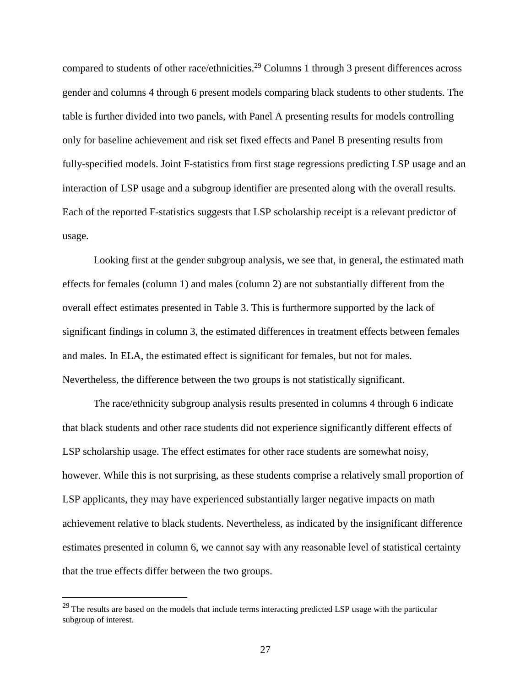compared to students of other race/ethnicities.<sup>29</sup> Columns 1 through 3 present differences across gender and columns 4 through 6 present models comparing black students to other students. The table is further divided into two panels, with Panel A presenting results for models controlling only for baseline achievement and risk set fixed effects and Panel B presenting results from fully-specified models. Joint F-statistics from first stage regressions predicting LSP usage and an interaction of LSP usage and a subgroup identifier are presented along with the overall results. Each of the reported F-statistics suggests that LSP scholarship receipt is a relevant predictor of usage.

Looking first at the gender subgroup analysis, we see that, in general, the estimated math effects for females (column 1) and males (column 2) are not substantially different from the overall effect estimates presented in Table 3. This is furthermore supported by the lack of significant findings in column 3, the estimated differences in treatment effects between females and males. In ELA, the estimated effect is significant for females, but not for males. Nevertheless, the difference between the two groups is not statistically significant.

The race/ethnicity subgroup analysis results presented in columns 4 through 6 indicate that black students and other race students did not experience significantly different effects of LSP scholarship usage. The effect estimates for other race students are somewhat noisy, however. While this is not surprising, as these students comprise a relatively small proportion of LSP applicants, they may have experienced substantially larger negative impacts on math achievement relative to black students. Nevertheless, as indicated by the insignificant difference estimates presented in column 6, we cannot say with any reasonable level of statistical certainty that the true effects differ between the two groups.

<sup>&</sup>lt;sup>29</sup> The results are based on the models that include terms interacting predicted LSP usage with the particular subgroup of interest.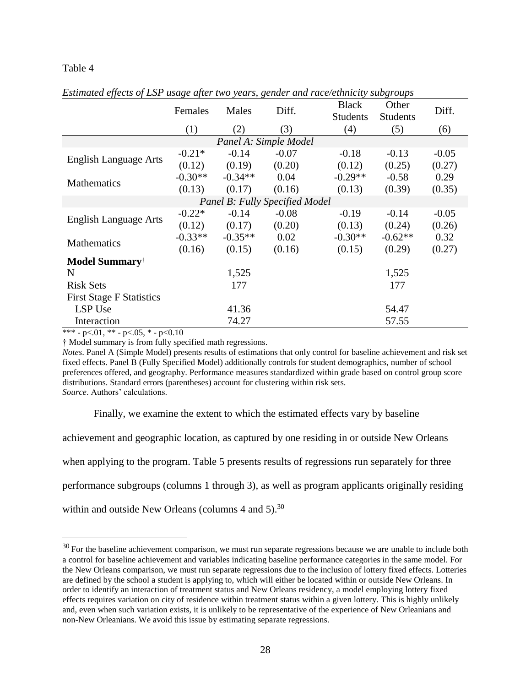### Table 4

|                                   | Females   | Males     | Diff.                          | <b>Black</b><br><b>Students</b> | Other<br><b>Students</b> | Diff.   |
|-----------------------------------|-----------|-----------|--------------------------------|---------------------------------|--------------------------|---------|
|                                   | (1)       | (2)       | (3)                            | (4)                             | (5)                      | (6)     |
| Panel A: Simple Model             |           |           |                                |                                 |                          |         |
| <b>English Language Arts</b>      | $-0.21*$  | $-0.14$   | $-0.07$                        | $-0.18$                         | $-0.13$                  | $-0.05$ |
|                                   | (0.12)    | (0.19)    | (0.20)                         | (0.12)                          | (0.25)                   | (0.27)  |
| <b>Mathematics</b>                | $-0.30**$ | $-0.34**$ | 0.04                           | $-0.29**$                       | $-0.58$                  | 0.29    |
|                                   | (0.13)    | (0.17)    | (0.16)                         | (0.13)                          | (0.39)                   | (0.35)  |
|                                   |           |           | Panel B: Fully Specified Model |                                 |                          |         |
|                                   | $-0.22*$  | $-0.14$   | $-0.08$                        | $-0.19$                         | $-0.14$                  | $-0.05$ |
| <b>English Language Arts</b>      | (0.12)    | (0.17)    | (0.20)                         | (0.13)                          | (0.24)                   | (0.26)  |
| <b>Mathematics</b>                | $-0.33**$ | $-0.35**$ | 0.02                           | $-0.30**$                       | $-0.62**$                | 0.32    |
|                                   | (0.16)    | (0.15)    | (0.16)                         | (0.15)                          | (0.29)                   | (0.27)  |
| <b>Model Summary</b> <sup>†</sup> |           |           |                                |                                 |                          |         |
| N                                 |           | 1,525     |                                |                                 | 1,525                    |         |
| <b>Risk Sets</b>                  |           | 177       |                                |                                 | 177                      |         |
| <b>First Stage F Statistics</b>   |           |           |                                |                                 |                          |         |
| LSP Use                           |           | 41.36     |                                |                                 | 54.47                    |         |
| Interaction                       |           | 74.27     |                                |                                 | 57.55                    |         |

*Estimated effects of LSP usage after two years, gender and race/ethnicity subgroups*

\*\*\* - p<.01,  $\overline{**}$  - p<.05, \* - p<0.10

 $\overline{a}$ 

† Model summary is from fully specified math regressions.

*Notes*. Panel A (Simple Model) presents results of estimations that only control for baseline achievement and risk set fixed effects. Panel B (Fully Specified Model) additionally controls for student demographics, number of school preferences offered, and geography. Performance measures standardized within grade based on control group score distributions. Standard errors (parentheses) account for clustering within risk sets. *Source*. Authors' calculations.

Finally, we examine the extent to which the estimated effects vary by baseline

achievement and geographic location, as captured by one residing in or outside New Orleans

when applying to the program. Table 5 presents results of regressions run separately for three

performance subgroups (columns 1 through 3), as well as program applicants originally residing

within and outside New Orleans (columns 4 and  $5$ ).<sup>30</sup>

 $30$  For the baseline achievement comparison, we must run separate regressions because we are unable to include both a control for baseline achievement and variables indicating baseline performance categories in the same model. For the New Orleans comparison, we must run separate regressions due to the inclusion of lottery fixed effects. Lotteries are defined by the school a student is applying to, which will either be located within or outside New Orleans. In order to identify an interaction of treatment status and New Orleans residency, a model employing lottery fixed effects requires variation on city of residence within treatment status within a given lottery. This is highly unlikely and, even when such variation exists, it is unlikely to be representative of the experience of New Orleanians and non-New Orleanians. We avoid this issue by estimating separate regressions.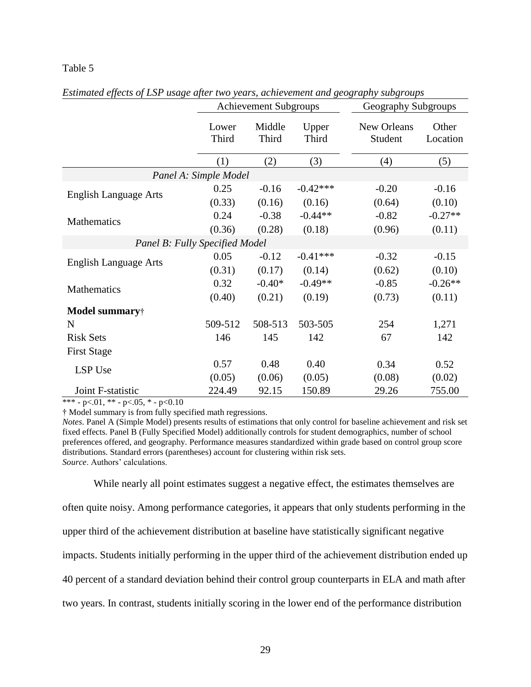# Table 5

|                                |                       | <b>Achievement Subgroups</b> |                | Geography Subgroups    |                   |  |
|--------------------------------|-----------------------|------------------------------|----------------|------------------------|-------------------|--|
|                                | Lower<br>Third        | Middle<br>Third              | Upper<br>Third | New Orleans<br>Student | Other<br>Location |  |
|                                | (1)                   | (2)                          | (3)            | (4)                    | (5)               |  |
|                                | Panel A: Simple Model |                              |                |                        |                   |  |
| <b>English Language Arts</b>   | 0.25                  | $-0.16$                      | $-0.42***$     | $-0.20$                | $-0.16$           |  |
|                                | (0.33)                | (0.16)                       | (0.16)         | (0.64)                 | (0.10)            |  |
| Mathematics                    | 0.24                  | $-0.38$                      | $-0.44**$      | $-0.82$                | $-0.27**$         |  |
|                                | (0.36)                | (0.28)                       | (0.18)         | (0.96)                 | (0.11)            |  |
| Panel B: Fully Specified Model |                       |                              |                |                        |                   |  |
| <b>English Language Arts</b>   | 0.05                  | $-0.12$                      | $-0.41***$     | $-0.32$                | $-0.15$           |  |
|                                | (0.31)                | (0.17)                       | (0.14)         | (0.62)                 | (0.10)            |  |
| Mathematics                    | 0.32                  | $-0.40*$                     | $-0.49**$      | $-0.85$                | $-0.26**$         |  |
|                                | (0.40)                | (0.21)                       | (0.19)         | (0.73)                 | (0.11)            |  |
| Model summary†                 |                       |                              |                |                        |                   |  |
| $\mathbf N$                    | 509-512               | 508-513                      | 503-505        | 254                    | 1,271             |  |
| <b>Risk Sets</b>               | 146                   | 145                          | 142            | 67                     | 142               |  |
| <b>First Stage</b>             |                       |                              |                |                        |                   |  |
| LSP Use                        | 0.57                  | 0.48                         | 0.40           | 0.34                   | 0.52              |  |
|                                | (0.05)                | (0.06)                       | (0.05)         | (0.08)                 | (0.02)            |  |
| Joint F-statistic              | 224.49                | 92.15                        | 150.89         | 29.26                  | 755.00            |  |

*Estimated effects of LSP usage after two years, achievement and geography subgroups*

\*\*\* - p<.01, \*\* - p<.05, \* - p<0.10

† Model summary is from fully specified math regressions.

*Notes*. Panel A (Simple Model) presents results of estimations that only control for baseline achievement and risk set fixed effects. Panel B (Fully Specified Model) additionally controls for student demographics, number of school preferences offered, and geography. Performance measures standardized within grade based on control group score distributions. Standard errors (parentheses) account for clustering within risk sets. *Source*. Authors' calculations.

While nearly all point estimates suggest a negative effect, the estimates themselves are often quite noisy. Among performance categories, it appears that only students performing in the upper third of the achievement distribution at baseline have statistically significant negative impacts. Students initially performing in the upper third of the achievement distribution ended up 40 percent of a standard deviation behind their control group counterparts in ELA and math after two years. In contrast, students initially scoring in the lower end of the performance distribution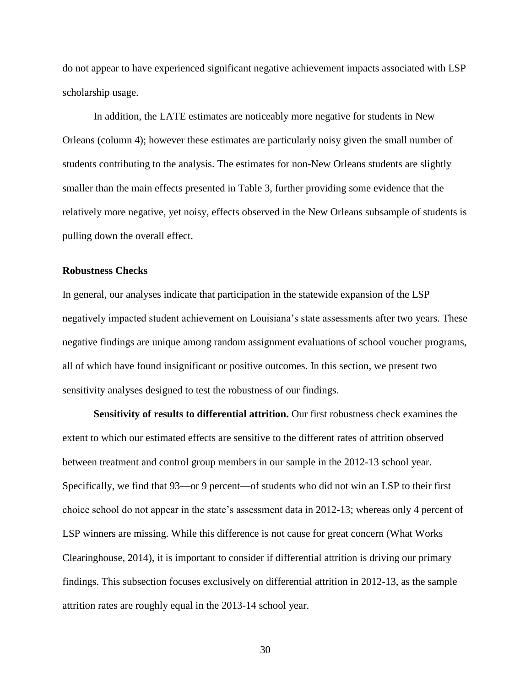do not appear to have experienced significant negative achievement impacts associated with LSP scholarship usage.

In addition, the LATE estimates are noticeably more negative for students in New Orleans (column 4); however these estimates are particularly noisy given the small number of students contributing to the analysis. The estimates for non-New Orleans students are slightly smaller than the main effects presented in Table 3, further providing some evidence that the relatively more negative, yet noisy, effects observed in the New Orleans subsample of students is pulling down the overall effect.

#### **Robustness Checks**

In general, our analyses indicate that participation in the statewide expansion of the LSP negatively impacted student achievement on Louisiana's state assessments after two years. These negative findings are unique among random assignment evaluations of school voucher programs, all of which have found insignificant or positive outcomes. In this section, we present two sensitivity analyses designed to test the robustness of our findings.

**Sensitivity of results to differential attrition.** Our first robustness check examines the extent to which our estimated effects are sensitive to the different rates of attrition observed between treatment and control group members in our sample in the 2012-13 school year. Specifically, we find that 93—or 9 percent—of students who did not win an LSP to their first choice school do not appear in the state's assessment data in 2012-13; whereas only 4 percent of LSP winners are missing. While this difference is not cause for great concern (What Works Clearinghouse, 2014), it is important to consider if differential attrition is driving our primary findings. This subsection focuses exclusively on differential attrition in 2012-13, as the sample attrition rates are roughly equal in the 2013-14 school year.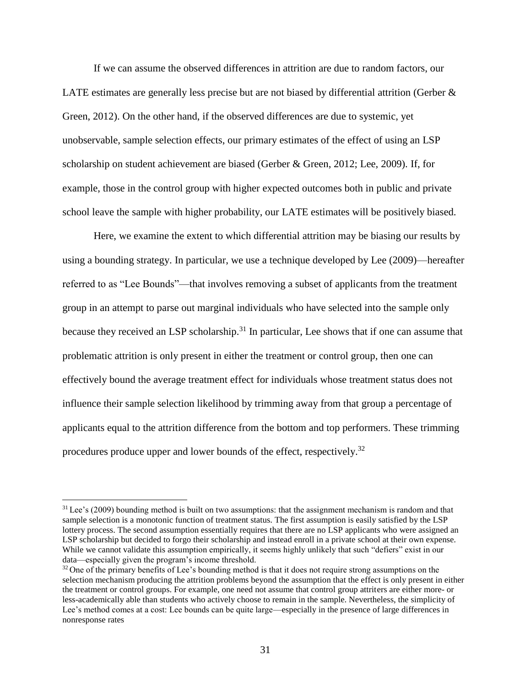If we can assume the observed differences in attrition are due to random factors, our LATE estimates are generally less precise but are not biased by differential attrition (Gerber & Green, 2012). On the other hand, if the observed differences are due to systemic, yet unobservable, sample selection effects, our primary estimates of the effect of using an LSP scholarship on student achievement are biased (Gerber & Green, 2012; Lee, 2009). If, for example, those in the control group with higher expected outcomes both in public and private school leave the sample with higher probability, our LATE estimates will be positively biased.

Here, we examine the extent to which differential attrition may be biasing our results by using a bounding strategy. In particular, we use a technique developed by Lee (2009)—hereafter referred to as "Lee Bounds"—that involves removing a subset of applicants from the treatment group in an attempt to parse out marginal individuals who have selected into the sample only because they received an LSP scholarship.<sup>31</sup> In particular, Lee shows that if one can assume that problematic attrition is only present in either the treatment or control group, then one can effectively bound the average treatment effect for individuals whose treatment status does not influence their sample selection likelihood by trimming away from that group a percentage of applicants equal to the attrition difference from the bottom and top performers. These trimming procedures produce upper and lower bounds of the effect, respectively.<sup>32</sup>

<sup>&</sup>lt;sup>31</sup> Lee's (2009) bounding method is built on two assumptions: that the assignment mechanism is random and that sample selection is a monotonic function of treatment status. The first assumption is easily satisfied by the LSP lottery process. The second assumption essentially requires that there are no LSP applicants who were assigned an LSP scholarship but decided to forgo their scholarship and instead enroll in a private school at their own expense. While we cannot validate this assumption empirically, it seems highly unlikely that such "defiers" exist in our data—especially given the program's income threshold.

 $32$  One of the primary benefits of Lee's bounding method is that it does not require strong assumptions on the selection mechanism producing the attrition problems beyond the assumption that the effect is only present in either the treatment or control groups. For example, one need not assume that control group attriters are either more- or less-academically able than students who actively choose to remain in the sample. Nevertheless, the simplicity of Lee's method comes at a cost: Lee bounds can be quite large—especially in the presence of large differences in nonresponse rates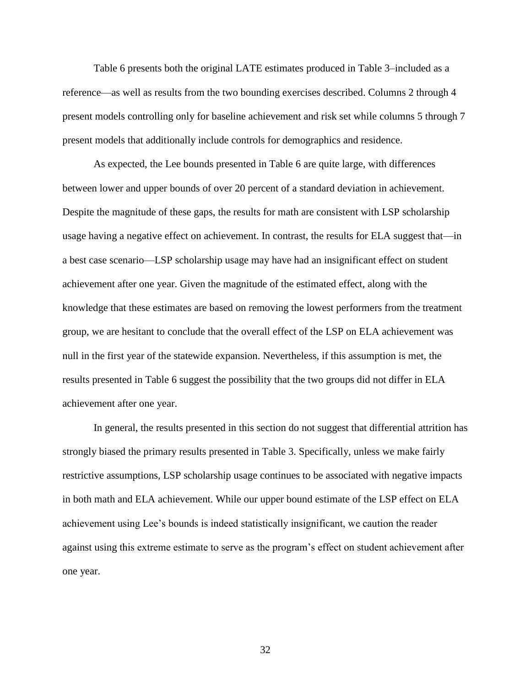Table 6 presents both the original LATE estimates produced in Table 3–included as a reference—as well as results from the two bounding exercises described. Columns 2 through 4 present models controlling only for baseline achievement and risk set while columns 5 through 7 present models that additionally include controls for demographics and residence.

As expected, the Lee bounds presented in Table 6 are quite large, with differences between lower and upper bounds of over 20 percent of a standard deviation in achievement. Despite the magnitude of these gaps, the results for math are consistent with LSP scholarship usage having a negative effect on achievement. In contrast, the results for ELA suggest that—in a best case scenario—LSP scholarship usage may have had an insignificant effect on student achievement after one year. Given the magnitude of the estimated effect, along with the knowledge that these estimates are based on removing the lowest performers from the treatment group, we are hesitant to conclude that the overall effect of the LSP on ELA achievement was null in the first year of the statewide expansion. Nevertheless, if this assumption is met, the results presented in Table 6 suggest the possibility that the two groups did not differ in ELA achievement after one year.

In general, the results presented in this section do not suggest that differential attrition has strongly biased the primary results presented in Table 3. Specifically, unless we make fairly restrictive assumptions, LSP scholarship usage continues to be associated with negative impacts in both math and ELA achievement. While our upper bound estimate of the LSP effect on ELA achievement using Lee's bounds is indeed statistically insignificant, we caution the reader against using this extreme estimate to serve as the program's effect on student achievement after one year.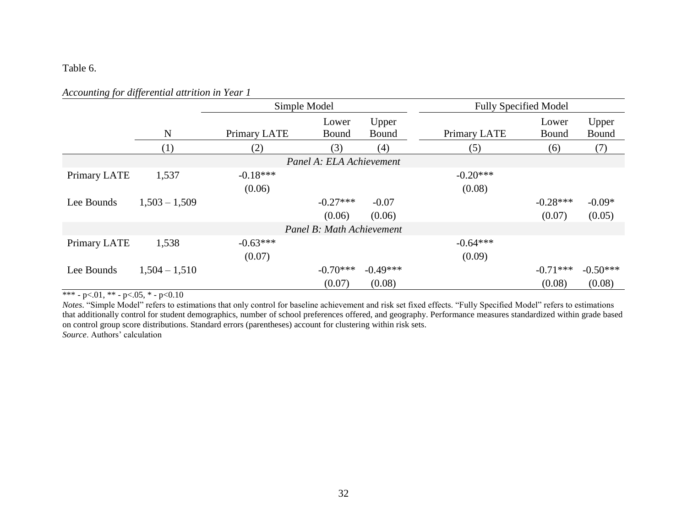# Table 6.

|                     |                 | Simple Model |                           |                | <b>Fully Specified Model</b> |                |                |
|---------------------|-----------------|--------------|---------------------------|----------------|------------------------------|----------------|----------------|
|                     | $\mathbf N$     | Primary LATE | Lower<br>Bound            | Upper<br>Bound | Primary LATE                 | Lower<br>Bound | Upper<br>Bound |
|                     | (1)             | (2)          | (3)                       | (4)            | (5)                          | (6)            | (7)            |
|                     |                 |              | Panel A: ELA Achievement  |                |                              |                |                |
| Primary LATE        | 1,537           | $-0.18***$   |                           |                | $-0.20***$                   |                |                |
|                     |                 | (0.06)       |                           |                | (0.08)                       |                |                |
| Lee Bounds          | $1,503 - 1,509$ |              | $-0.27***$                | $-0.07$        |                              | $-0.28***$     | $-0.09*$       |
|                     |                 |              | (0.06)                    | (0.06)         |                              | (0.07)         | (0.05)         |
|                     |                 |              | Panel B: Math Achievement |                |                              |                |                |
| <b>Primary LATE</b> | 1,538           | $-0.63***$   |                           |                | $-0.64***$                   |                |                |
|                     |                 | (0.07)       |                           |                | (0.09)                       |                |                |
| Lee Bounds          | $1,504 - 1,510$ |              | $-0.70***$                | $-0.49***$     |                              | $-0.71***$     | $-0.50***$     |
|                     |                 |              | (0.07)                    | (0.08)         |                              | (0.08)         | (0.08)         |

# *Accounting for differential attrition in Year 1*

\*\*\* - p<.01, \*\* - p<.05, \* - p<0.10

*Notes*. "Simple Model" refers to estimations that only control for baseline achievement and risk set fixed effects. "Fully Specified Model" refers to estimations that additionally control for student demographics, number of school preferences offered, and geography. Performance measures standardized within grade based on control group score distributions. Standard errors (parentheses) account for clustering within risk sets. *Source*. Authors' calculation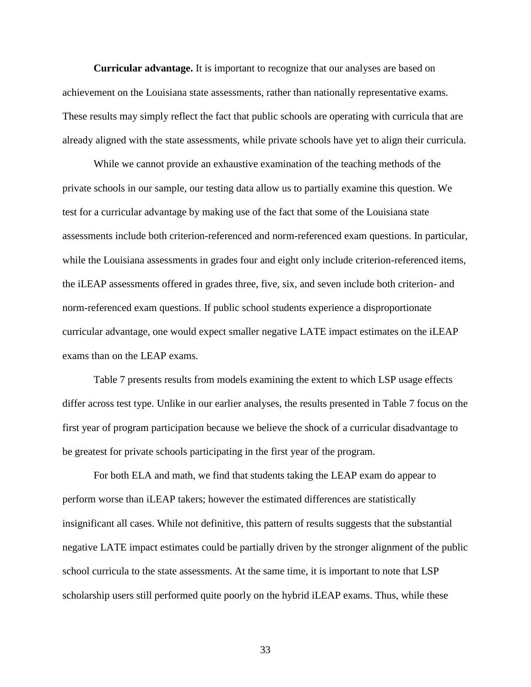**Curricular advantage.** It is important to recognize that our analyses are based on achievement on the Louisiana state assessments, rather than nationally representative exams. These results may simply reflect the fact that public schools are operating with curricula that are already aligned with the state assessments, while private schools have yet to align their curricula.

While we cannot provide an exhaustive examination of the teaching methods of the private schools in our sample, our testing data allow us to partially examine this question. We test for a curricular advantage by making use of the fact that some of the Louisiana state assessments include both criterion-referenced and norm-referenced exam questions. In particular, while the Louisiana assessments in grades four and eight only include criterion-referenced items, the iLEAP assessments offered in grades three, five, six, and seven include both criterion- and norm-referenced exam questions. If public school students experience a disproportionate curricular advantage, one would expect smaller negative LATE impact estimates on the iLEAP exams than on the LEAP exams.

Table 7 presents results from models examining the extent to which LSP usage effects differ across test type. Unlike in our earlier analyses, the results presented in Table 7 focus on the first year of program participation because we believe the shock of a curricular disadvantage to be greatest for private schools participating in the first year of the program.

For both ELA and math, we find that students taking the LEAP exam do appear to perform worse than iLEAP takers; however the estimated differences are statistically insignificant all cases. While not definitive, this pattern of results suggests that the substantial negative LATE impact estimates could be partially driven by the stronger alignment of the public school curricula to the state assessments. At the same time, it is important to note that LSP scholarship users still performed quite poorly on the hybrid iLEAP exams. Thus, while these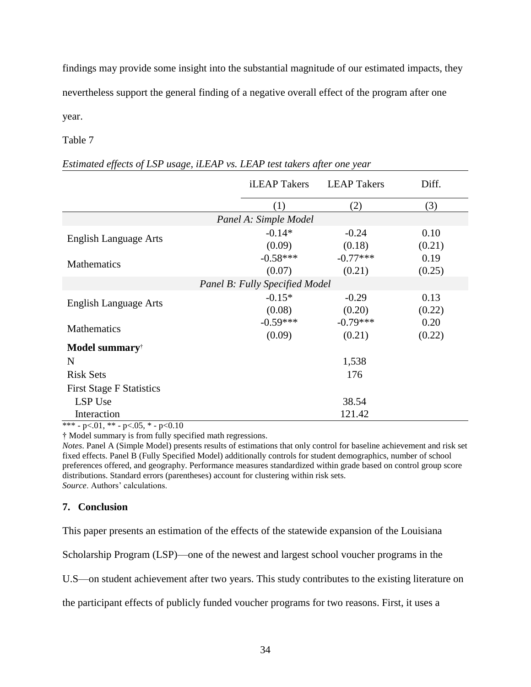findings may provide some insight into the substantial magnitude of our estimated impacts, they nevertheless support the general finding of a negative overall effect of the program after one year.

# Table 7

|                                 | <b>LEAP Takers</b><br><b>iLEAP</b> Takers |            | Diff.  |
|---------------------------------|-------------------------------------------|------------|--------|
|                                 | (1)                                       | (2)        | (3)    |
|                                 | Panel A: Simple Model                     |            |        |
| <b>English Language Arts</b>    | $-0.14*$                                  | $-0.24$    | 0.10   |
|                                 | (0.09)                                    | (0.18)     | (0.21) |
| <b>Mathematics</b>              | $-0.58***$                                | $-0.77***$ | 0.19   |
|                                 | (0.07)                                    | (0.21)     | (0.25) |
|                                 | Panel B: Fully Specified Model            |            |        |
|                                 | $-0.15*$                                  | $-0.29$    | 0.13   |
| <b>English Language Arts</b>    | (0.08)                                    | (0.20)     | (0.22) |
| Mathematics                     | $-0.59***$                                | $-0.79***$ | 0.20   |
|                                 | (0.09)                                    | (0.21)     | (0.22) |
| Model summary <sup>†</sup>      |                                           |            |        |
| N                               |                                           | 1,538      |        |
| <b>Risk Sets</b>                |                                           | 176        |        |
| <b>First Stage F Statistics</b> |                                           |            |        |
| LSP Use                         |                                           | 38.54      |        |
| Interaction                     |                                           | 121.42     |        |

# *Estimated effects of LSP usage, iLEAP vs. LEAP test takers after one year*

\*\*\* - p<.01, \*\* - p<.05, \* - p<0.10

† Model summary is from fully specified math regressions.

*Notes*. Panel A (Simple Model) presents results of estimations that only control for baseline achievement and risk set fixed effects. Panel B (Fully Specified Model) additionally controls for student demographics, number of school preferences offered, and geography. Performance measures standardized within grade based on control group score distributions. Standard errors (parentheses) account for clustering within risk sets. *Source*. Authors' calculations.

# **7. Conclusion**

This paper presents an estimation of the effects of the statewide expansion of the Louisiana

Scholarship Program (LSP)—one of the newest and largest school voucher programs in the

U.S—on student achievement after two years. This study contributes to the existing literature on

the participant effects of publicly funded voucher programs for two reasons. First, it uses a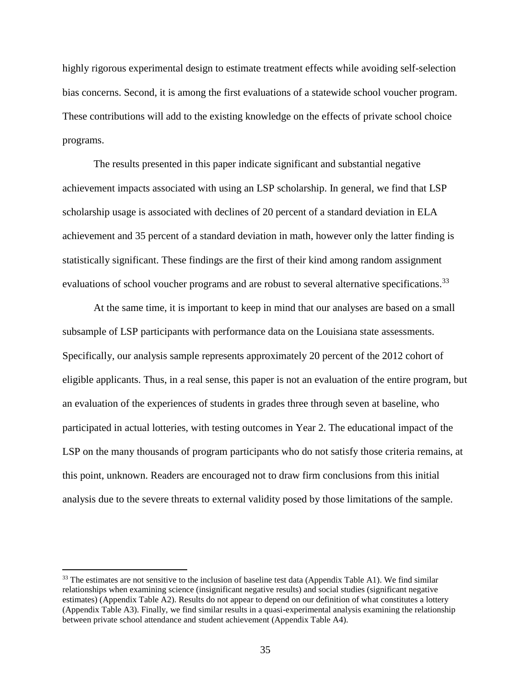highly rigorous experimental design to estimate treatment effects while avoiding self-selection bias concerns. Second, it is among the first evaluations of a statewide school voucher program. These contributions will add to the existing knowledge on the effects of private school choice programs.

The results presented in this paper indicate significant and substantial negative achievement impacts associated with using an LSP scholarship. In general, we find that LSP scholarship usage is associated with declines of 20 percent of a standard deviation in ELA achievement and 35 percent of a standard deviation in math, however only the latter finding is statistically significant. These findings are the first of their kind among random assignment evaluations of school voucher programs and are robust to several alternative specifications.<sup>33</sup>

At the same time, it is important to keep in mind that our analyses are based on a small subsample of LSP participants with performance data on the Louisiana state assessments. Specifically, our analysis sample represents approximately 20 percent of the 2012 cohort of eligible applicants. Thus, in a real sense, this paper is not an evaluation of the entire program, but an evaluation of the experiences of students in grades three through seven at baseline, who participated in actual lotteries, with testing outcomes in Year 2. The educational impact of the LSP on the many thousands of program participants who do not satisfy those criteria remains, at this point, unknown. Readers are encouraged not to draw firm conclusions from this initial analysis due to the severe threats to external validity posed by those limitations of the sample.

<sup>&</sup>lt;sup>33</sup> The estimates are not sensitive to the inclusion of baseline test data (Appendix Table A1). We find similar relationships when examining science (insignificant negative results) and social studies (significant negative estimates) (Appendix Table A2). Results do not appear to depend on our definition of what constitutes a lottery (Appendix Table A3). Finally, we find similar results in a quasi-experimental analysis examining the relationship between private school attendance and student achievement (Appendix Table A4).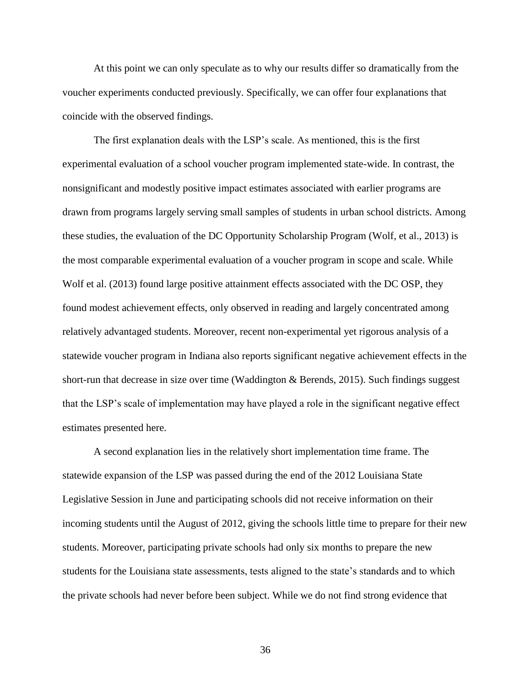At this point we can only speculate as to why our results differ so dramatically from the voucher experiments conducted previously. Specifically, we can offer four explanations that coincide with the observed findings.

The first explanation deals with the LSP's scale. As mentioned, this is the first experimental evaluation of a school voucher program implemented state-wide. In contrast, the nonsignificant and modestly positive impact estimates associated with earlier programs are drawn from programs largely serving small samples of students in urban school districts. Among these studies, the evaluation of the DC Opportunity Scholarship Program (Wolf, et al., 2013) is the most comparable experimental evaluation of a voucher program in scope and scale. While Wolf et al. (2013) found large positive attainment effects associated with the DC OSP, they found modest achievement effects, only observed in reading and largely concentrated among relatively advantaged students. Moreover, recent non-experimental yet rigorous analysis of a statewide voucher program in Indiana also reports significant negative achievement effects in the short-run that decrease in size over time (Waddington & Berends, 2015). Such findings suggest that the LSP's scale of implementation may have played a role in the significant negative effect estimates presented here.

A second explanation lies in the relatively short implementation time frame. The statewide expansion of the LSP was passed during the end of the 2012 Louisiana State Legislative Session in June and participating schools did not receive information on their incoming students until the August of 2012, giving the schools little time to prepare for their new students. Moreover, participating private schools had only six months to prepare the new students for the Louisiana state assessments, tests aligned to the state's standards and to which the private schools had never before been subject. While we do not find strong evidence that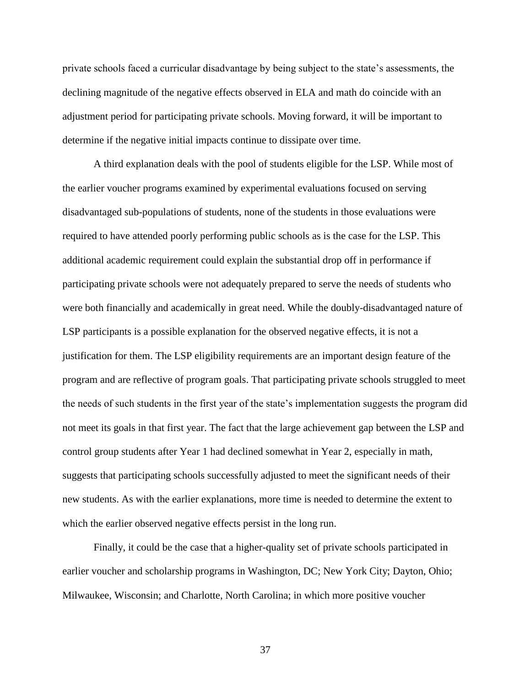private schools faced a curricular disadvantage by being subject to the state's assessments, the declining magnitude of the negative effects observed in ELA and math do coincide with an adjustment period for participating private schools. Moving forward, it will be important to determine if the negative initial impacts continue to dissipate over time.

A third explanation deals with the pool of students eligible for the LSP. While most of the earlier voucher programs examined by experimental evaluations focused on serving disadvantaged sub-populations of students, none of the students in those evaluations were required to have attended poorly performing public schools as is the case for the LSP. This additional academic requirement could explain the substantial drop off in performance if participating private schools were not adequately prepared to serve the needs of students who were both financially and academically in great need. While the doubly-disadvantaged nature of LSP participants is a possible explanation for the observed negative effects, it is not a justification for them. The LSP eligibility requirements are an important design feature of the program and are reflective of program goals. That participating private schools struggled to meet the needs of such students in the first year of the state's implementation suggests the program did not meet its goals in that first year. The fact that the large achievement gap between the LSP and control group students after Year 1 had declined somewhat in Year 2, especially in math, suggests that participating schools successfully adjusted to meet the significant needs of their new students. As with the earlier explanations, more time is needed to determine the extent to which the earlier observed negative effects persist in the long run.

Finally, it could be the case that a higher-quality set of private schools participated in earlier voucher and scholarship programs in Washington, DC; New York City; Dayton, Ohio; Milwaukee, Wisconsin; and Charlotte, North Carolina; in which more positive voucher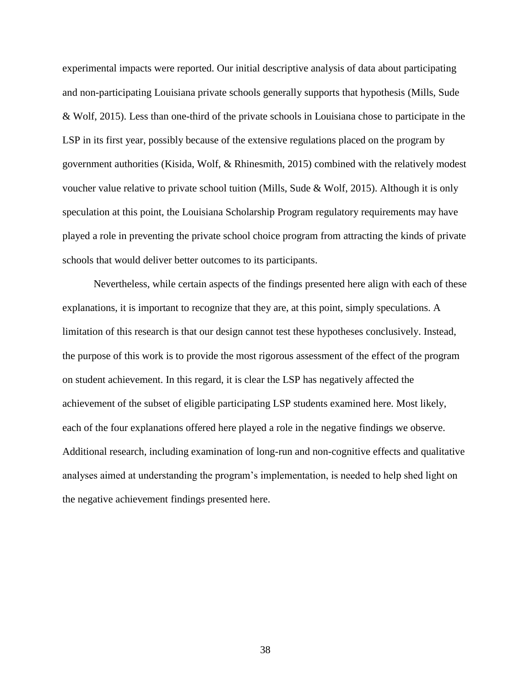experimental impacts were reported. Our initial descriptive analysis of data about participating and non-participating Louisiana private schools generally supports that hypothesis (Mills, Sude & Wolf, 2015). Less than one-third of the private schools in Louisiana chose to participate in the LSP in its first year, possibly because of the extensive regulations placed on the program by government authorities (Kisida, Wolf, & Rhinesmith, 2015) combined with the relatively modest voucher value relative to private school tuition (Mills, Sude & Wolf, 2015). Although it is only speculation at this point, the Louisiana Scholarship Program regulatory requirements may have played a role in preventing the private school choice program from attracting the kinds of private schools that would deliver better outcomes to its participants.

Nevertheless, while certain aspects of the findings presented here align with each of these explanations, it is important to recognize that they are, at this point, simply speculations. A limitation of this research is that our design cannot test these hypotheses conclusively. Instead, the purpose of this work is to provide the most rigorous assessment of the effect of the program on student achievement. In this regard, it is clear the LSP has negatively affected the achievement of the subset of eligible participating LSP students examined here. Most likely, each of the four explanations offered here played a role in the negative findings we observe. Additional research, including examination of long-run and non-cognitive effects and qualitative analyses aimed at understanding the program's implementation, is needed to help shed light on the negative achievement findings presented here.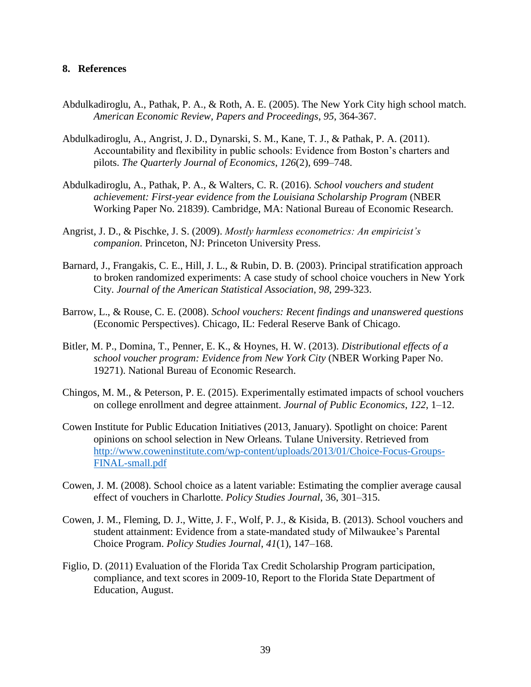#### **8. References**

- Abdulkadiroglu, A., Pathak, P. A., & Roth, A. E. (2005). The New York City high school match. *American Economic Review, Papers and Proceedings*, *95*, 364-367.
- Abdulkadiroglu, A., Angrist, J. D., Dynarski, S. M., Kane, T. J., & Pathak, P. A. (2011). Accountability and flexibility in public schools: Evidence from Boston's charters and pilots. *The Quarterly Journal of Economics*, *126*(2), 699–748.
- Abdulkadiroglu, A., Pathak, P. A., & Walters, C. R. (2016). *School vouchers and student achievement: First-year evidence from the Louisiana Scholarship Program* (NBER Working Paper No. 21839). Cambridge, MA: National Bureau of Economic Research.
- Angrist, J. D., & Pischke, J. S. (2009). *Mostly harmless econometrics: An empiricist's companion*. Princeton, NJ: Princeton University Press.
- Barnard, J., Frangakis, C. E., Hill, J. L., & Rubin, D. B. (2003). Principal stratification approach to broken randomized experiments: A case study of school choice vouchers in New York City. *Journal of the American Statistical Association*, *98*, 299-323.
- Barrow, L., & Rouse, C. E. (2008). *School vouchers: Recent findings and unanswered questions* (Economic Perspectives). Chicago, IL: Federal Reserve Bank of Chicago.
- Bitler, M. P., Domina, T., Penner, E. K., & Hoynes, H. W. (2013). *Distributional effects of a school voucher program: Evidence from New York City* (NBER Working Paper No. 19271). National Bureau of Economic Research.
- Chingos, M. M., & Peterson, P. E. (2015). Experimentally estimated impacts of school vouchers on college enrollment and degree attainment. *Journal of Public Economics*, *122*, 1–12.
- Cowen Institute for Public Education Initiatives (2013, January). Spotlight on choice: Parent opinions on school selection in New Orleans*.* Tulane University. Retrieved from [http://www.coweninstitute.com/wp-content/uploads/2013/01/Choice-Focus-Groups-](http://www.coweninstitute.com/wp-content/uploads/2013/01/Choice-Focus-Groups-FINAL-small.pdf)[FINAL-small.pdf](http://www.coweninstitute.com/wp-content/uploads/2013/01/Choice-Focus-Groups-FINAL-small.pdf)
- Cowen, J. M. (2008). School choice as a latent variable: Estimating the complier average causal effect of vouchers in Charlotte. *Policy Studies Journal*, 36, 301–315.
- Cowen, J. M., Fleming, D. J., Witte, J. F., Wolf, P. J., & Kisida, B. (2013). School vouchers and student attainment: Evidence from a state-mandated study of Milwaukee's Parental Choice Program. *Policy Studies Journal*, *41*(1), 147–168.
- Figlio, D. (2011) Evaluation of the Florida Tax Credit Scholarship Program participation, compliance, and text scores in 2009-10, Report to the Florida State Department of Education, August.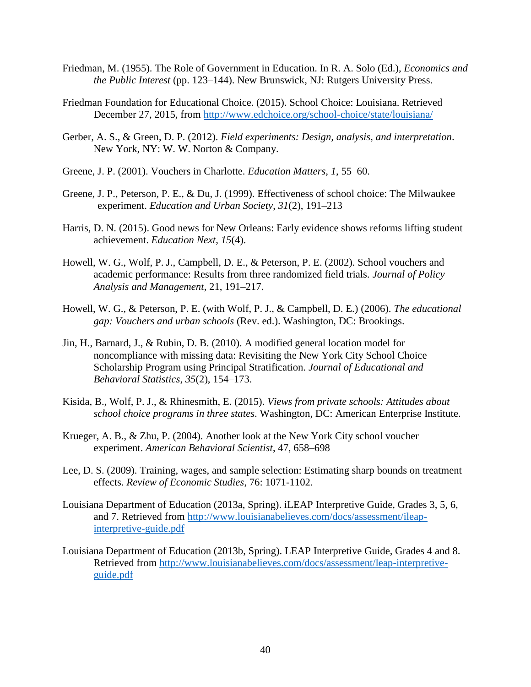- Friedman, M. (1955). The Role of Government in Education. In R. A. Solo (Ed.), *Economics and the Public Interest* (pp. 123–144). New Brunswick, NJ: Rutgers University Press.
- Friedman Foundation for Educational Choice. (2015). School Choice: Louisiana. Retrieved December 27, 2015, from <http://www.edchoice.org/school-choice/state/louisiana/>
- Gerber, A. S., & Green, D. P. (2012). *Field experiments: Design, analysis, and interpretation*. New York, NY: W. W. Norton & Company.
- Greene, J. P. (2001). Vouchers in Charlotte. *Education Matters*, *1*, 55–60.
- Greene, J. P., Peterson, P. E., & Du, J. (1999). Effectiveness of school choice: The Milwaukee experiment. *Education and Urban Society*, *31*(2), 191–213
- Harris, D. N. (2015). Good news for New Orleans: Early evidence shows reforms lifting student achievement. *Education Next*, *15*(4).
- Howell, W. G., Wolf, P. J., Campbell, D. E., & Peterson, P. E. (2002). School vouchers and academic performance: Results from three randomized field trials. *Journal of Policy Analysis and Management*, 21, 191–217.
- Howell, W. G., & Peterson, P. E. (with Wolf, P. J., & Campbell, D. E.) (2006). *The educational gap: Vouchers and urban schools* (Rev. ed.). Washington, DC: Brookings.
- Jin, H., Barnard, J., & Rubin, D. B. (2010). A modified general location model for noncompliance with missing data: Revisiting the New York City School Choice Scholarship Program using Principal Stratification. *Journal of Educational and Behavioral Statistics*, *35*(2), 154–173.
- Kisida, B., Wolf, P. J., & Rhinesmith, E. (2015). *Views from private schools: Attitudes about school choice programs in three states*. Washington, DC: American Enterprise Institute.
- Krueger, A. B., & Zhu, P. (2004). Another look at the New York City school voucher experiment. *American Behavioral Scientist*, 47, 658–698
- Lee, D. S. (2009). Training, wages, and sample selection: Estimating sharp bounds on treatment effects. *Review of Economic Studies*, 76: 1071-1102.
- Louisiana Department of Education (2013a, Spring). iLEAP Interpretive Guide, Grades 3, 5, 6, and 7. Retrieved from [http://www.louisianabelieves.com/docs/assessment/ileap](http://www.louisianabelieves.com/docs/assessment/ileap-interpretive-guide.pdf)[interpretive-guide.pdf](http://www.louisianabelieves.com/docs/assessment/ileap-interpretive-guide.pdf)
- Louisiana Department of Education (2013b, Spring). LEAP Interpretive Guide, Grades 4 and 8. Retrieved from [http://www.louisianabelieves.com/docs/assessment/leap-interpretive](http://www.louisianabelieves.com/docs/assessment/leap-interpretive-guide.pdf)[guide.pdf](http://www.louisianabelieves.com/docs/assessment/leap-interpretive-guide.pdf)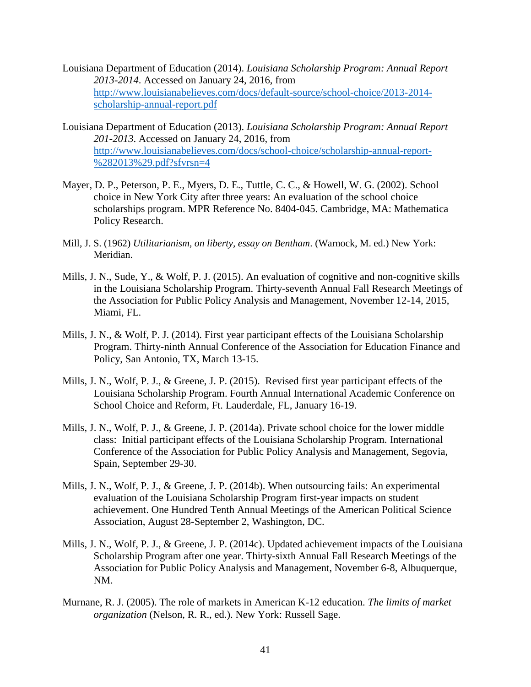- Louisiana Department of Education (2014). *Louisiana Scholarship Program: Annual Report 2013-2014*. Accessed on January 24, 2016, from [http://www.louisianabelieves.com/docs/default-source/school-choice/2013-2014](http://www.louisianabelieves.com/docs/default-source/school-choice/2013-2014-scholarship-annual-report.pdf) [scholarship-annual-report.pdf](http://www.louisianabelieves.com/docs/default-source/school-choice/2013-2014-scholarship-annual-report.pdf)
- Louisiana Department of Education (2013). *Louisiana Scholarship Program: Annual Report 201-2013*. Accessed on January 24, 2016, from [http://www.louisianabelieves.com/docs/school-choice/scholarship-annual-report-](http://www.louisianabelieves.com/docs/school-choice/scholarship-annual-report-%282013%29.pdf?sfvrsn=4) [%282013%29.pdf?sfvrsn=4](http://www.louisianabelieves.com/docs/school-choice/scholarship-annual-report-%282013%29.pdf?sfvrsn=4)
- Mayer, D. P., Peterson, P. E., Myers, D. E., Tuttle, C. C., & Howell, W. G. (2002). School choice in New York City after three years: An evaluation of the school choice scholarships program. MPR Reference No. 8404-045. Cambridge, MA: Mathematica Policy Research.
- Mill, J. S. (1962) *Utilitarianism, on liberty, essay on Bentham*. (Warnock, M. ed.) New York: Meridian.
- Mills, J. N., Sude, Y., & Wolf, P. J. (2015). An evaluation of cognitive and non-cognitive skills in the Louisiana Scholarship Program. Thirty-seventh Annual Fall Research Meetings of the Association for Public Policy Analysis and Management, November 12-14, 2015, Miami, FL.
- Mills, J. N., & Wolf, P. J. (2014). First year participant effects of the Louisiana Scholarship Program. Thirty-ninth Annual Conference of the Association for Education Finance and Policy, San Antonio, TX, March 13-15.
- Mills, J. N., Wolf, P. J., & Greene, J. P. (2015). Revised first year participant effects of the Louisiana Scholarship Program. Fourth Annual International Academic Conference on School Choice and Reform, Ft. Lauderdale, FL, January 16-19.
- Mills, J. N., Wolf, P. J., & Greene, J. P. (2014a). Private school choice for the lower middle class: Initial participant effects of the Louisiana Scholarship Program. International Conference of the Association for Public Policy Analysis and Management, Segovia, Spain, September 29-30.
- Mills, J. N., Wolf, P. J., & Greene, J. P. (2014b). When outsourcing fails: An experimental evaluation of the Louisiana Scholarship Program first-year impacts on student achievement. One Hundred Tenth Annual Meetings of the American Political Science Association, August 28-September 2, Washington, DC.
- Mills, J. N., Wolf, P. J., & Greene, J. P. (2014c). Updated achievement impacts of the Louisiana Scholarship Program after one year. Thirty-sixth Annual Fall Research Meetings of the Association for Public Policy Analysis and Management, November 6-8, Albuquerque, NM.
- Murnane, R. J. (2005). The role of markets in American K-12 education. *The limits of market organization* (Nelson, R. R., ed.). New York: Russell Sage.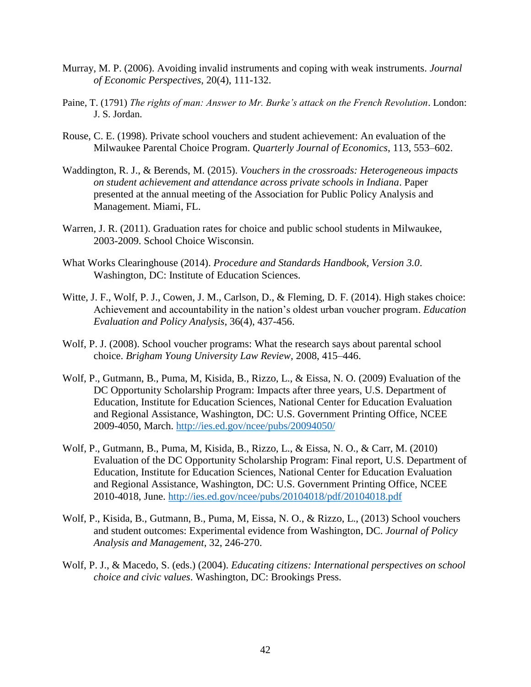- Murray, M. P. (2006). Avoiding invalid instruments and coping with weak instruments. *Journal of Economic Perspectives*, 20(4), 111-132.
- Paine, T. (1791) *The rights of man: Answer to Mr. Burke's attack on the French Revolution*. London: J. S. Jordan.
- Rouse, C. E. (1998). Private school vouchers and student achievement: An evaluation of the Milwaukee Parental Choice Program. *Quarterly Journal of Economics*, 113, 553–602.
- Waddington, R. J., & Berends, M. (2015). *Vouchers in the crossroads: Heterogeneous impacts on student achievement and attendance across private schools in Indiana*. Paper presented at the annual meeting of the Association for Public Policy Analysis and Management. Miami, FL.
- Warren, J. R. (2011). Graduation rates for choice and public school students in Milwaukee, 2003-2009. School Choice Wisconsin.
- What Works Clearinghouse (2014). *Procedure and Standards Handbook, Version 3.0*. Washington, DC: Institute of Education Sciences.
- Witte, J. F., Wolf, P. J., Cowen, J. M., Carlson, D., & Fleming, D. F. (2014). High stakes choice: Achievement and accountability in the nation's oldest urban voucher program. *Education Evaluation and Policy Analysis*, 36(4), 437-456.
- Wolf, P. J. (2008). School voucher programs: What the research says about parental school choice. *Brigham Young University Law Review*, 2008, 415–446.
- Wolf, P., Gutmann, B., Puma, M, Kisida, B., Rizzo, L., & Eissa, N. O. (2009) Evaluation of the DC Opportunity Scholarship Program: Impacts after three years, U.S. Department of Education, Institute for Education Sciences, National Center for Education Evaluation and Regional Assistance, Washington, DC: U.S. Government Printing Office, NCEE 2009-4050, March.<http://ies.ed.gov/ncee/pubs/20094050/>
- Wolf, P., Gutmann, B., Puma, M, Kisida, B., Rizzo, L., & Eissa, N. O., & Carr, M. (2010) Evaluation of the DC Opportunity Scholarship Program: Final report, U.S. Department of Education, Institute for Education Sciences, National Center for Education Evaluation and Regional Assistance, Washington, DC: U.S. Government Printing Office, NCEE 2010-4018, June.<http://ies.ed.gov/ncee/pubs/20104018/pdf/20104018.pdf>
- Wolf, P., Kisida, B., Gutmann, B., Puma, M, Eissa, N. O., & Rizzo, L., (2013) School vouchers and student outcomes: Experimental evidence from Washington, DC. *Journal of Policy Analysis and Management*, 32, 246-270.
- Wolf, P. J., & Macedo, S. (eds.) (2004). *Educating citizens: International perspectives on school choice and civic values*. Washington, DC: Brookings Press.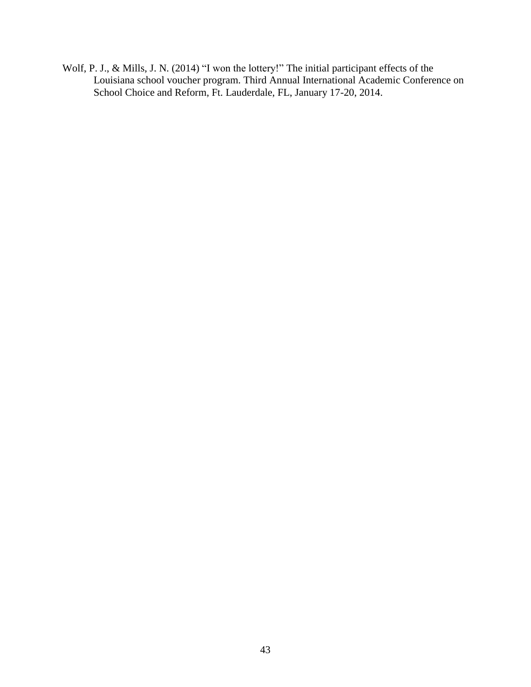Wolf, P. J., & Mills, J. N. (2014) "I won the lottery!" The initial participant effects of the Louisiana school voucher program. Third Annual International Academic Conference on School Choice and Reform, Ft. Lauderdale, FL, January 17-20, 2014.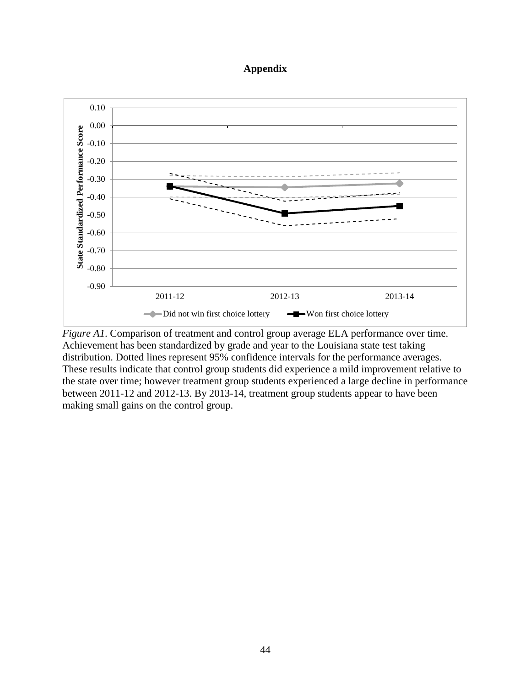# **Appendix**



*Figure A1*. Comparison of treatment and control group average ELA performance over time. Achievement has been standardized by grade and year to the Louisiana state test taking distribution. Dotted lines represent 95% confidence intervals for the performance averages. These results indicate that control group students did experience a mild improvement relative to the state over time; however treatment group students experienced a large decline in performance between 2011-12 and 2012-13. By 2013-14, treatment group students appear to have been making small gains on the control group.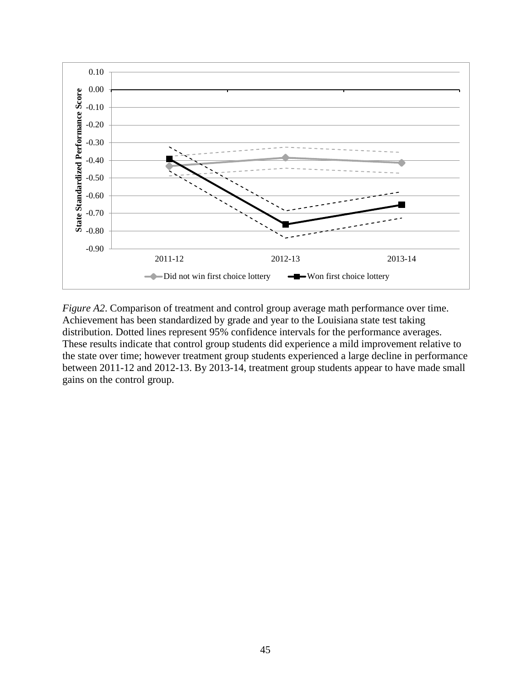

*Figure A2*. Comparison of treatment and control group average math performance over time. Achievement has been standardized by grade and year to the Louisiana state test taking distribution. Dotted lines represent 95% confidence intervals for the performance averages. These results indicate that control group students did experience a mild improvement relative to the state over time; however treatment group students experienced a large decline in performance between 2011-12 and 2012-13. By 2013-14, treatment group students appear to have made small gains on the control group.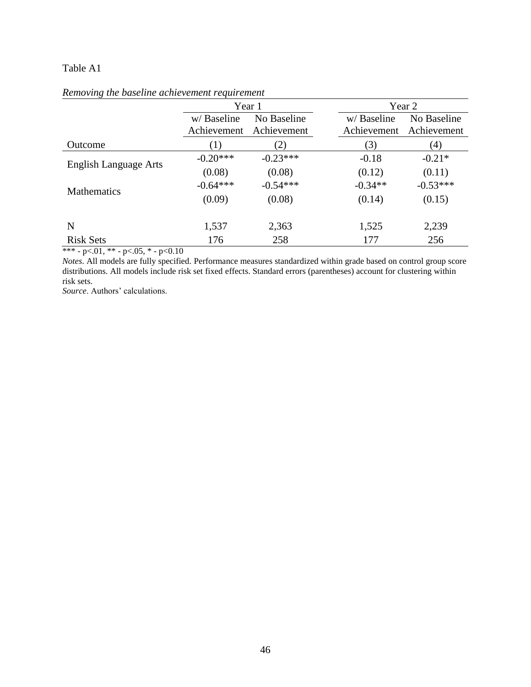# Table A1

|                       | Year 1                    |             |            | Year 2      |             |  |
|-----------------------|---------------------------|-------------|------------|-------------|-------------|--|
|                       | No Baseline<br>w/Baseline |             | w/Baseline | No Baseline |             |  |
|                       | Achievement               | Achievement |            | Achievement | Achievement |  |
| <b>Outcome</b>        | (1)                       | (2)         |            | (3)         | (4)         |  |
| English Language Arts | $-0.20***$                | $-0.23***$  |            | $-0.18$     | $-0.21*$    |  |
|                       | (0.08)                    | (0.08)      |            | (0.12)      | (0.11)      |  |
| <b>Mathematics</b>    | $-0.64***$                | $-0.54***$  |            | $-0.34**$   | $-0.53***$  |  |
|                       | (0.09)                    | (0.08)      |            | (0.14)      | (0.15)      |  |
|                       |                           |             |            |             |             |  |
| N                     | 1,537                     | 2,363       |            | 1,525       | 2,239       |  |
| <b>Risk Sets</b>      | 176                       | 258         |            | 177         | 256         |  |

# *Removing the baseline achievement requirement*

\*\*\* - p<.01, \*\* - p<.05, \* - p<0.10

*Notes*. All models are fully specified. Performance measures standardized within grade based on control group score distributions. All models include risk set fixed effects. Standard errors (parentheses) account for clustering within risk sets.

*Source*. Authors' calculations.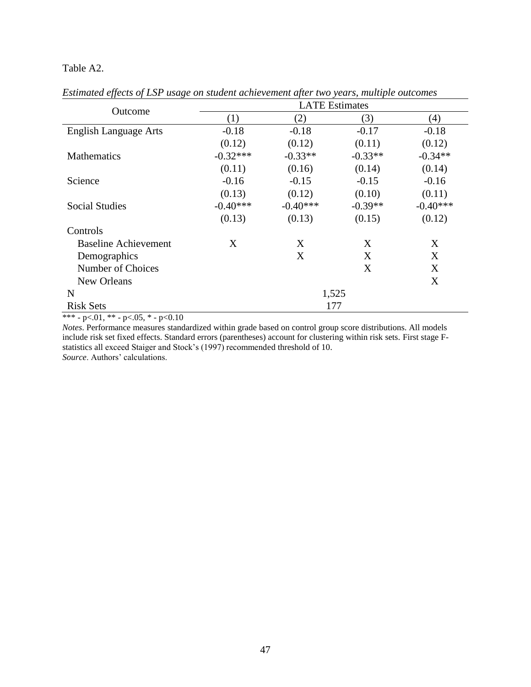# Table A2.

|                             |                  | <b>LATE</b> Estimates |           |            |  |  |  |  |
|-----------------------------|------------------|-----------------------|-----------|------------|--|--|--|--|
| Outcome                     | $\left(1\right)$ | (2)                   | (3)       | (4)        |  |  |  |  |
| English Language Arts       | $-0.18$          | $-0.18$               | $-0.17$   | $-0.18$    |  |  |  |  |
|                             | (0.12)           | (0.12)                | (0.11)    | (0.12)     |  |  |  |  |
| <b>Mathematics</b>          | $-0.32***$       | $-0.33**$             | $-0.33**$ | $-0.34**$  |  |  |  |  |
|                             | (0.11)           | (0.16)                | (0.14)    | (0.14)     |  |  |  |  |
| Science                     | $-0.16$          | $-0.15$               | $-0.15$   | $-0.16$    |  |  |  |  |
|                             | (0.13)           | (0.12)                | (0.10)    | (0.11)     |  |  |  |  |
| <b>Social Studies</b>       | $-0.40***$       | $-0.40***$            | $-0.39**$ | $-0.40***$ |  |  |  |  |
|                             | (0.13)           | (0.13)                | (0.15)    | (0.12)     |  |  |  |  |
| Controls                    |                  |                       |           |            |  |  |  |  |
| <b>Baseline Achievement</b> | X                | X                     | X         | X          |  |  |  |  |
| Demographics                |                  | X                     | X         | X          |  |  |  |  |
| Number of Choices           |                  |                       | X         | X          |  |  |  |  |
| New Orleans                 |                  |                       |           | X          |  |  |  |  |
| N                           |                  | 1,525                 |           |            |  |  |  |  |
| <b>Risk Sets</b>            | 177              |                       |           |            |  |  |  |  |

*Estimated effects of LSP usage on student achievement after two years, multiple outcomes*

\*\*\* - p<.01, \*\* - p<.05, \* - p<0.10

*Notes*. Performance measures standardized within grade based on control group score distributions. All models include risk set fixed effects. Standard errors (parentheses) account for clustering within risk sets. First stage Fstatistics all exceed Staiger and Stock's (1997) recommended threshold of 10. *Source*. Authors' calculations.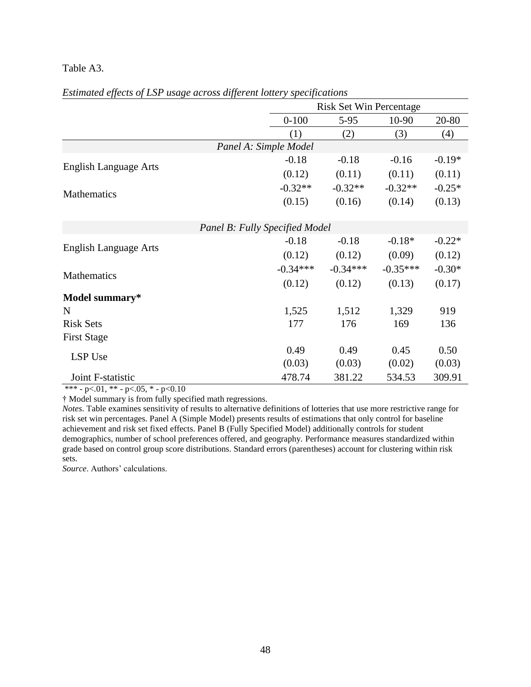# Table A3.

|                              |                                | <b>Risk Set Win Percentage</b> |            |            |          |
|------------------------------|--------------------------------|--------------------------------|------------|------------|----------|
|                              |                                | $0 - 100$                      | 5-95       | 10-90      | 20-80    |
|                              |                                | (1)                            | (2)        | (3)        | (4)      |
|                              | Panel A: Simple Model          |                                |            |            |          |
| <b>English Language Arts</b> |                                | $-0.18$                        | $-0.18$    | $-0.16$    | $-0.19*$ |
|                              |                                | (0.12)                         | (0.11)     | (0.11)     | (0.11)   |
| Mathematics                  |                                | $-0.32**$                      | $-0.32**$  | $-0.32**$  | $-0.25*$ |
|                              |                                | (0.15)                         | (0.16)     | (0.14)     | (0.13)   |
|                              | Panel B: Fully Specified Model |                                |            |            |          |
|                              |                                | $-0.18$                        | $-0.18$    | $-0.18*$   | $-0.22*$ |
| <b>English Language Arts</b> |                                | (0.12)                         | (0.12)     | (0.09)     | (0.12)   |
|                              |                                | $-0.34***$                     | $-0.34***$ | $-0.35***$ | $-0.30*$ |
| Mathematics                  |                                | (0.12)                         | (0.12)     | (0.13)     | (0.17)   |
| Model summary*               |                                |                                |            |            |          |
| N                            |                                | 1,525                          | 1,512      | 1,329      | 919      |
| <b>Risk Sets</b>             |                                | 177                            | 176        | 169        | 136      |
| <b>First Stage</b>           |                                |                                |            |            |          |
| LSP Use                      |                                | 0.49                           | 0.49       | 0.45       | 0.50     |
|                              |                                | (0.03)                         | (0.03)     | (0.02)     | (0.03)   |
| Joint F-statistic            |                                | 478.74                         | 381.22     | 534.53     | 309.91   |

*Estimated effects of LSP usage across different lottery specifications*

\*\*\* - p<.01, \*\* - p<.05, \* - p<0.10

† Model summary is from fully specified math regressions.

*Notes*. Table examines sensitivity of results to alternative definitions of lotteries that use more restrictive range for risk set win percentages. Panel A (Simple Model) presents results of estimations that only control for baseline achievement and risk set fixed effects. Panel B (Fully Specified Model) additionally controls for student demographics, number of school preferences offered, and geography. Performance measures standardized within grade based on control group score distributions. Standard errors (parentheses) account for clustering within risk sets.

*Source*. Authors' calculations.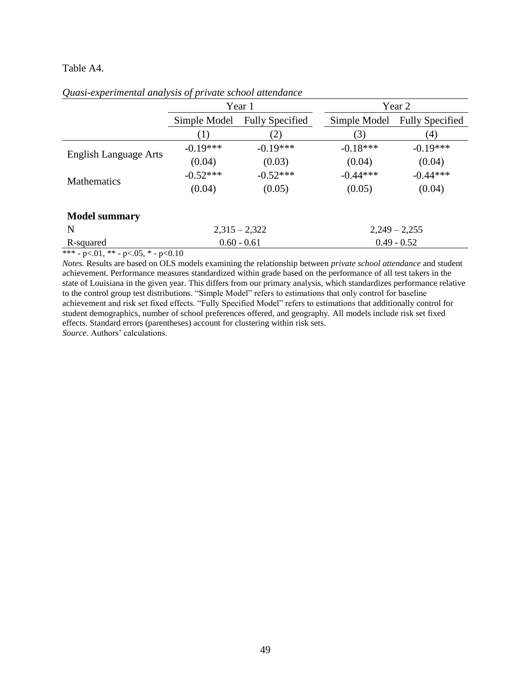#### Table A4.

|                       |                                        | Year 1     |                 | Year 2                 |  |  |  |
|-----------------------|----------------------------------------|------------|-----------------|------------------------|--|--|--|
|                       | <b>Fully Specified</b><br>Simple Model |            | Simple Model    | <b>Fully Specified</b> |  |  |  |
|                       | (1)                                    | (2)        | (3)             | (4)                    |  |  |  |
|                       | $-0.19***$                             | $-0.19***$ | $-0.18***$      | $-0.19***$             |  |  |  |
| English Language Arts | (0.04)                                 | (0.03)     | (0.04)          | (0.04)                 |  |  |  |
| <b>Mathematics</b>    | $-0.52***$                             | $-0.52***$ | $-0.44***$      | $-0.44***$             |  |  |  |
|                       | (0.04)                                 | (0.05)     | (0.05)          | (0.04)                 |  |  |  |
| <b>Model summary</b>  |                                        |            |                 |                        |  |  |  |
| N                     | $2,315 - 2,322$                        |            | $2,249 - 2,255$ |                        |  |  |  |
| R-squared             | $0.60 - 0.61$                          |            | $0.49 - 0.52$   |                        |  |  |  |

*Quasi-experimental analysis of private school attendance*

\*\*\* - p<.01, \*\* - p<.05, \* - p<0.10

*Notes*. Results are based on OLS models examining the relationship between *private school attendance* and student achievement. Performance measures standardized within grade based on the performance of all test takers in the state of Louisiana in the given year. This differs from our primary analysis, which standardizes performance relative to the control group test distributions. "Simple Model" refers to estimations that only control for baseline achievement and risk set fixed effects. "Fully Specified Model" refers to estimations that additionally control for student demographics, number of school preferences offered, and geography. All models include risk set fixed effects. Standard errors (parentheses) account for clustering within risk sets. *Source*. Authors' calculations.